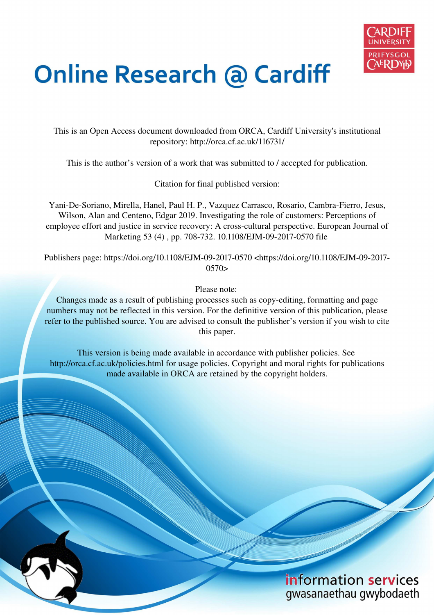

# **Online Research @ Cardiff**

This is an Open Access document downloaded from ORCA, Cardiff University's institutional repository: http://orca.cf.ac.uk/116731/

This is the author's version of a work that was submitted to / accepted for publication.

Citation for final published version:

Yani-De-Soriano, Mirella, Hanel, Paul H. P., Vazquez Carrasco, Rosario, Cambra-Fierro, Jesus, Wilson, Alan and Centeno, Edgar 2019. Investigating the role of customers: Perceptions of employee effort and justice in service recovery: A cross-cultural perspective. European Journal of Marketing 53 (4) , pp. 708-732. 10.1108/EJM-09-2017-0570 file

Publishers page: https://doi.org/10.1108/EJM-09-2017-0570 <https://doi.org/10.1108/EJM-09-2017-  $0570>$ 

Please note:

Changes made as a result of publishing processes such as copy-editing, formatting and page numbers may not be reflected in this version. For the definitive version of this publication, please refer to the published source. You are advised to consult the publisher's version if you wish to cite this paper.

This version is being made available in accordance with publisher policies. See http://orca.cf.ac.uk/policies.html for usage policies. Copyright and moral rights for publications made available in ORCA are retained by the copyright holders.

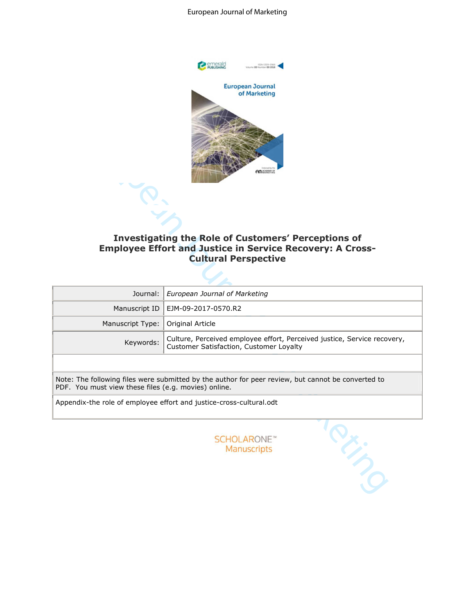#### European Journal of Marketing



# Investigating the Role of Customers' Perceptions of **Employee Effort and Justice in Service Recovery: A Cross-Cultural Perspective**

| <b>AD ASADEMY O</b><br><b>Investigating the Role of Customers' Perceptions of</b><br><b>Employee Effort and Justice in Service Recovery: A Cross-</b><br><b>Cultural Perspective</b> |                                                                                                    |  |  |  |  |  |  |
|--------------------------------------------------------------------------------------------------------------------------------------------------------------------------------------|----------------------------------------------------------------------------------------------------|--|--|--|--|--|--|
| Journal:                                                                                                                                                                             | European Journal of Marketing                                                                      |  |  |  |  |  |  |
| Manuscript ID                                                                                                                                                                        | EJM-09-2017-0570.R2                                                                                |  |  |  |  |  |  |
| Manuscript Type:                                                                                                                                                                     | Original Article                                                                                   |  |  |  |  |  |  |
| Culture, Perceived employee effort, Perceived justice, Service recovery,<br>Keywords:<br>Customer Satisfaction, Customer Loyalty                                                     |                                                                                                    |  |  |  |  |  |  |
| PDF. You must view these files (e.g. movies) online.                                                                                                                                 | Note: The following files were submitted by the author for peer review, but cannot be converted to |  |  |  |  |  |  |
|                                                                                                                                                                                      | Appendix-the role of employee effort and justice-cross-cultural.odt                                |  |  |  |  |  |  |
|                                                                                                                                                                                      | <b>SCHOLARONE™</b><br><b>Manuscripts</b>                                                           |  |  |  |  |  |  |

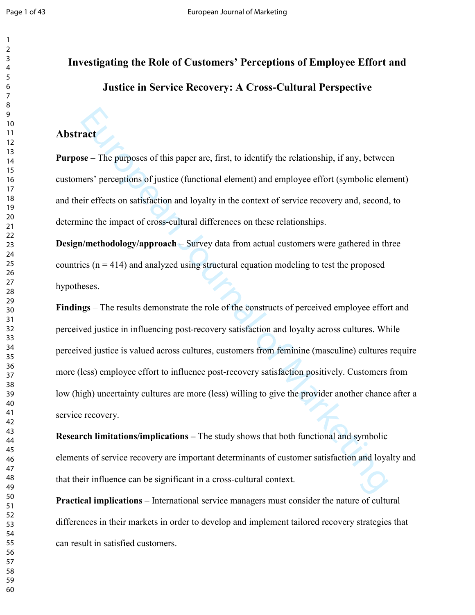# Investigating the Role of Customers' Perceptions of Employee Effort and **Justice in Service Recovery: A Cross-Cultural Perspective**

# **Abstract**

**Purpose** – The purposes of this paper are, first, to identify the relationship, if any, between customers' perceptions of justice (functional element) and employee effort (symbolic element) and their effects on satisfaction and loyalty in the context of service recovery and, second, to determine the impact of cross-cultural differences on these relationships.

**Design/methodology/approach – Survey data from actual customers were gathered in three** countries  $(n = 414)$  and analyzed using structural equation modeling to test the proposed hypotheses.

**Example 2018**<br>
Solutionary and the purposes of this paper are, first, to identify the relationship, if any, between<br>
teirs' perceptions of justice (functional element) and employee effort (symbolic element<br>
Firefrects on Findings – The results demonstrate the role of the constructs of perceived employee effort and perceived justice in influencing post-recovery satisfaction and loyalty across cultures. While perceived justice is valued across cultures, customers from feminine (masculine) cultures require more (less) employee effort to influence post-recovery satisfaction positively. Customers from low (high) uncertainty cultures are more (less) willing to give the provider another chance after a service recovery.

**Research limitations/implications** – The study shows that both functional and symbolic elements of service recovery are important determinants of customer satisfaction and loyalty and that their influence can be significant in a cross-cultural context.

**Practical implications** – International service managers must consider the nature of cultural differences in their markets in order to develop and implement tailored recovery strategies that can result in satisfied customers.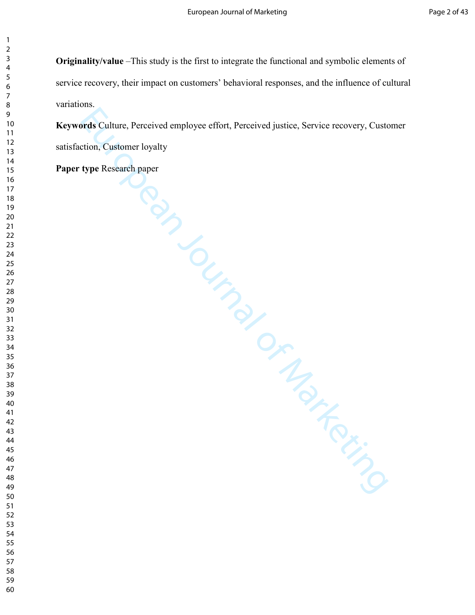**Originality/value** –This study is the first to integrate the functional and symbolic elements of service recovery, their impact on customers' behavioral responses, and the influence of cultural variations.

Freds Culture, Perceived employee effort, Perceived justice, Service recevery, Custe<br>
tion, Customer loyalty<br>
type Research paper<br>
Archives<br>
Archives<br>
Contract of Marketing Contract of Marketing Contract of Marketing Contr **Keywords** Culture, Perceived employee effort, Perceived justice, Service recovery, Customer Culture, Perceived employee effort, Perceived justice, Service recovery, Customer satisfaction, Customer loyalty

**Paper type Research paper type Research paper**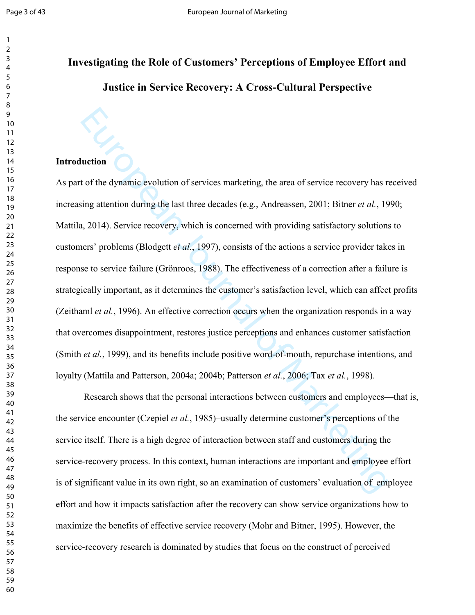# Investigating the Role of Customers' Perceptions of Employee Effort and **Justice in Service Recovery: A Cross-Cultural Perspective**

### **Introduction**

**Luction**<br>
Luction<br>
Luction<br>
Luction of services marketing, the area of service recovery has ring attention during the last three decades (e.g., Andreassen, 2001; Bitner *et al.*, 15<br>
4, 2014). Service recovery, which is As part of the dynamic evolution of services marketing, the area of service recovery has received increasing attention during the last three decades (e.g., Andreassen, 2001; Bitner *et al.*, 1990; Mattila, 2014). Service recovery, which is concerned with providing satisfactory solutions to customers' problems (Blodgett *et al.*, 1997), consists of the actions a service provider takes in response to service failure (Grönroos, 1988). The effectiveness of a correction after a failure is strategically important, as it determines the customer's satisfaction level, which can affect profits (Zeithaml *et al.*, 1996). An effective correction occurs when the organization responds in a way that overcomes disappointment, restores justice perceptions and enhances customer satisfaction (Smith *et al.*, 1999), and its benefits include positive word-of-mouth, repurchase intentions, and loyalty (Mattila and Patterson, 2004a; 2004b; Patterson *et al.*, 2006; Tax *et al.*, 1998).

Research shows that the personal interactions between customers and employees—that is, the service encounter (Czepiel *et al.*, 1985)–usually determine customer's perceptions of the service itself. There is a high degree of interaction between staff and customers during the service-recovery process. In this context, human interactions are important and employee effort is of significant value in its own right, so an examination of customers' evaluation of employee effort and how it impacts satisfaction after the recovery can show service organizations how to maximize the benefits of effective service recovery (Mohr and Bitner, 1995). However, the service-recovery research is dominated by studies that focus on the construct of perceived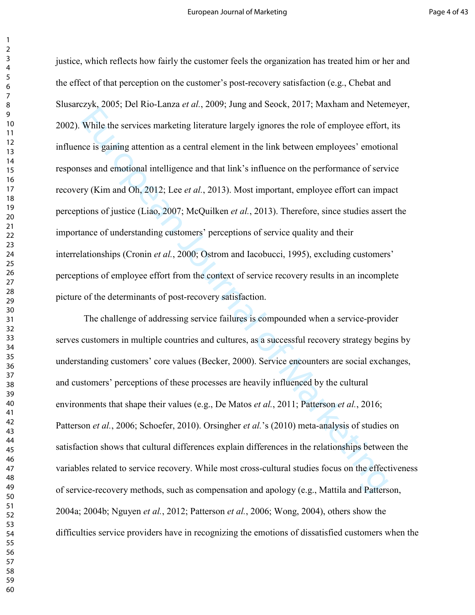European Interior and electric ligning interaction of While the services marketing literature largely ignores the role of employee effort, where igning attention as a central element in the link between employees' emotion justice, which reflects how fairly the customer feels the organization has treated him or her and the effect of that perception on the customer's postrecovery satisfaction (e.g., Chebat and Slusarczyk, 2005; Del Rio-Lanza et al., 2009; Jung and Seock, 2017; Maxham and Netemeyer, 2002). While the services marketing literature largely ignores the role of employee effort, its influence is gaining attention as a central element in the link between employees' emotional responses and emotional intelligence and that link's influence on the performance of service recovery (Kim and Oh, 2012; Lee *et al.*, 2013). Most important, employee effort can impact perceptions of justice (Liao, 2007; McQuilken *et al.*, 2013). Therefore, since studies assert the importance of understanding customers' perceptions of service quality and their interrelationships (Cronin *et al.*, 2000; Ostrom and Iacobucci, 1995), excluding customers' perceptions of employee effort from the context of service recovery results in an incomplete picture of the determinants of post-recovery satisfaction.

The challenge of addressing service failures is compounded when a service-provider serves customers in multiple countries and cultures, as a successful recovery strategy begins by understanding customers' core values (Becker, 2000). Service encounters are social exchanges, and customers' perceptions of these processes are heavily influenced by the cultural environments that shape their values (e.g., De Matos *et al.*, 2011; Patterson *et al.*, 2016; Patterson *et al.*, 2006; Schoefer, 2010). Orsingher *et al.*'s (2010) meta-analysis of studies on satisfaction shows that cultural differences explain differences in the relationships between the variables related to service recovery. While most cross-cultural studies focus on the effectiveness of servicerecovery methods, such as compensation and apology (e.g., Mattila and Patterson, 2004a; 2004b; Nguyen *et al.*, 2012; Patterson *et al.*, 2006; Wong, 2004), others show the difficulties service providers have in recognizing the emotions of dissatisfied customers when the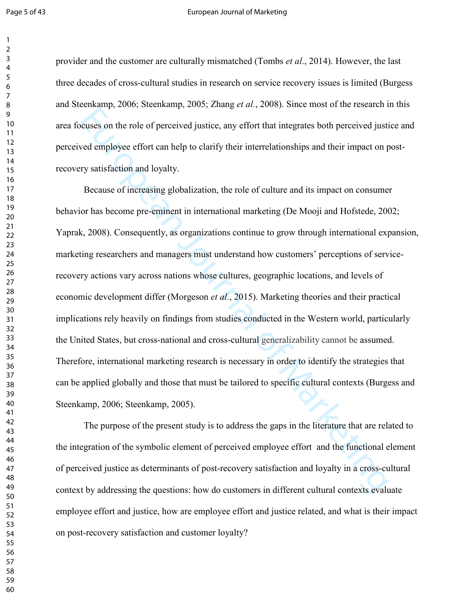#### Page 5 of 43 **Page 5 of 43** European Journal of Marketing

provider and the customer are culturally mismatched (Tombs et al., 2014). However, the last three decades of cross-cultural studies in research on service recovery issues is limited (Burgess) and Steenkamp, 2006; Steenkamp, 2005; Zhang *et al.*, 2008). Since most of the research in this area focuses on the role of perceived justice, any effort that integrates both perceived justice and perceived employee effort can help to clarify their interrelationships and their impact on post recovery satisfaction and loyalty.

European Control and Northelm and Northelm and Northelm and Northelm and Northelm and Northelm and Northelm and the masses of increasing globalization, the role of culture and its impact on consume or has become pre-eminen Because of increasing globalization, the role of culture and its impact on consumer behavior has become pre-eminent in international marketing (De Mooji and Hofstede, 2002; Yaprak, 2008). Consequently, as organizations continue to grow through international expansion, marketing researchers and managers must understand how customers' perceptions of service recovery actions vary across nations whose cultures, geographic locations, and levels of economic development differ (Morgeson *et al.*, 2015). Marketing theories and their practical implications rely heavily on findings from studies conducted in the Western world, particularly the United States, but cross-national and cross-cultural generalizability cannot be assumed. Therefore, international marketing research is necessary in order to identify the strategies that can be applied globally and those that must be tailored to specific cultural contexts (Burgess and Steenkamp, 2006; Steenkamp, 2005).

The purpose of the present study is to address the gaps in the literature that are related to the integration of the symbolic element of perceived employee effort and the functional element of perceived justice as determinants of post-recovery satisfaction and loyalty in a cross-cultural context by addressing the questions: how do customers in different cultural contexts evaluate employee effort and justice, how are employee effort and justice related, and what is their impact on post-recovery satisfaction and customer loyalty?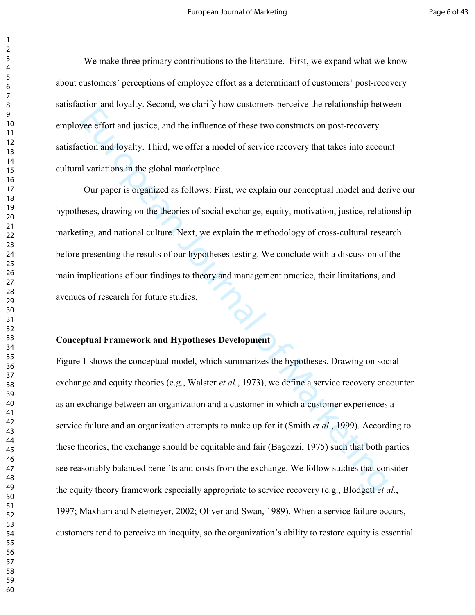We make three primary contributions to the literature. First, we expand what we know about customers' perceptions of employee effort as a determinant of customers' postrecovery satisfaction and loyalty. Second, we clarify how customers perceive the relationship between employee effort and justice, and the influence of these two constructs on postrecovery satisfaction and loyalty. Third, we offer a model of service recovery that takes into account cultural variations in the global marketplace.

Our paper is organized as follows: First, we explain our conceptual model and derive our hypotheses, drawing on the theories of social exchange, equity, motivation, justice, relationship marketing, and national culture. Next, we explain the methodology of cross-cultural research before presenting the results of our hypotheses testing. We conclude with a discussion of the main implications of our findings to theory and management practice, their limitations, and avenues of research for future studies.

### **Conceptual Framework and Hypotheses Development**

European divideo, and the influence of these two constructs on post-recovery<br>tion and loyalty. Third, we offer a model of service recovery that takes into accound<br>variations in the global marketplace.<br>Our paper is organiz Figure 1 shows the conceptual model, which summarizes the hypotheses. Drawing on social exchange and equity theories (e.g., Walster *et al.*, 1973), we define a service recovery encounter as an exchange between an organization and a customer in which a customer experiences a service failure and an organization attempts to make up for it (Smith et al., 1999). According to these theories, the exchange should be equitable and fair (Bagozzi, 1975) such that both parties see reasonably balanced benefits and costs from the exchange. We follow studies that consider the equity theory framework especially appropriate to service recovery (e.g., Blodgett *et al.*, 1997; Maxham and Netemeyer, 2002; Oliver and Swan, 1989). When a service failure occurs, customers tend to perceive an inequity, so the organization's ability to restore equity is essential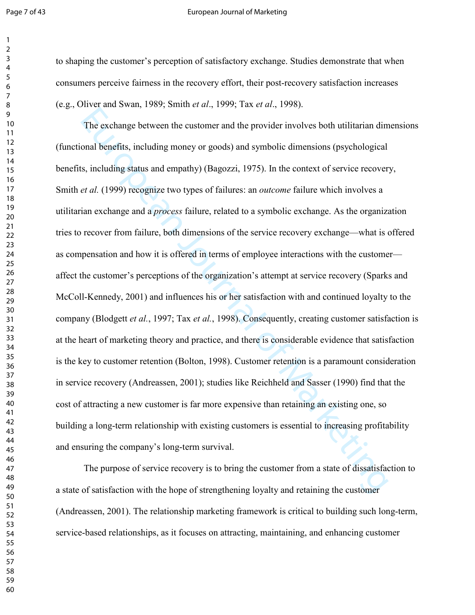#### Page 7 of 43 **Page 7** of 43 **European Journal of Marketing**

to shaping the customer's perception of satisfactory exchange. Studies demonstrate that when consumers perceive fairness in the recovery effort, their postrecovery satisfaction increases (e.g., Oliver and Swan, 1989; Smith *et al.*, 1999; Tax *et al.*, 1998).

The exchange between the ustomer and the provider involves both utilitarian dim<br>
onal benefits, including money or goods) and symbolic dimensions (psychological<br>
is, including status and empathy) (Bagozzi, 1975). In the c The exchange between the customer and the provider involves both utilitarian dimensions (functional benefits, including money or goods) and symbolic dimensions (psychological benefits, including status and empathy) (Bagozzi, 1975). In the context of service recovery, Smith *et al.* (1999) recognize two types of failures: an *outcome* failure which involves a utilitarian exchange and a *process* failure, related to a symbolic exchange. As the organization tries to recover from failure, both dimensions of the service recovery exchange—what is offered as compensation and how it is offered in terms of employee interactions with the customer affect the customer's perceptions of the organization's attempt at service recovery (Sparks and McColl-Kennedy, 2001) and influences his or her satisfaction with and continued loyalty to the company (Blodgett *et al.*, 1997; Tax *et al.*, 1998). Consequently, creating customer satisfaction is at the heart of marketing theory and practice, and there is considerable evidence that satisfaction is the key to customer retention (Bolton, 1998). Customer retention is a paramount consideration in service recovery (Andreassen, 2001); studies like Reichheld and Sasser (1990) find that the cost of attracting a new customer is far more expensive than retaining an existing one, so building a long-term relationship with existing customers is essential to increasing profitability and ensuring the company's long-term survival.

The purpose of service recovery is to bring the customer from a state of dissatisfaction to a state of satisfaction with the hope of strengthening loyalty and retaining the customer  $(Andreassen, 2001)$ . The relationship marketing framework is critical to building such long-term, service-based relationships, as it focuses on attracting, maintaining, and enhancing customer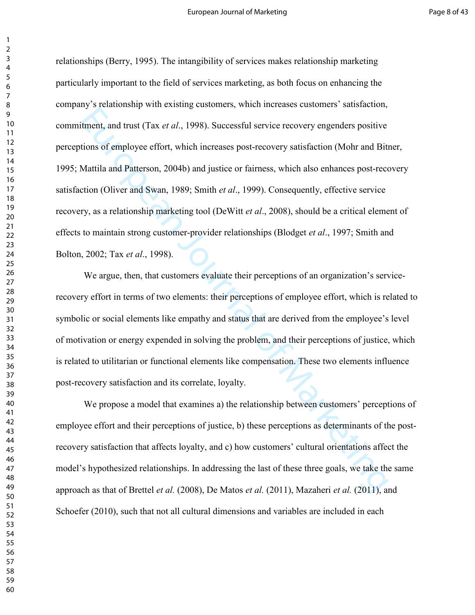European Journal transformation and their perceptions of the perception and the perception of Marketing of Marketing of Marketing of Marketing of Marketing of Marketing of Marketing of Marketing of Marketing Marketing (Ol relationships (Berry, 1995). The intangibility of services makes relationship marketing particularly important to the field of services marketing, as both focus on enhancing the company's relationship with existing customers, which increases customers' satisfaction, commitment, and trust (Tax *et al.*, 1998). Successful service recovery engenders positive perceptions of employee effort, which increases postrecovery satisfaction (Mohr and Bitner, 1995; Mattila and Patterson, 2004b) and justice or fairness, which also enhances post-recovery satisfaction (Oliver and Swan, 1989; Smith *et al.*, 1999). Consequently, effective service recovery, as a relationship marketing tool (DeWitt *et al.*, 2008), should be a critical element of effects to maintain strong customer-provider relationships (Blodget et al., 1997; Smith and Bolton, 2002; Tax *et al.*, 1998).

We argue, then, that customers evaluate their perceptions of an organization's servicerecovery effort in terms of two elements: their perceptions of employee effort, which is related to symbolic or social elements like empathy and status that are derived from the employee's level of motivation or energy expended in solving the problem, and their perceptions of justice, which is related to utilitarian or functional elements like compensation. These two elements influence post-recovery satisfaction and its correlate, loyalty.

 We propose a model that examines a) the relationship between customers' perceptions of employee effort and their perceptions of justice, b) these perceptions as determinants of the post recovery satisfaction that affects loyalty, and c) how customers' cultural orientations affect the model's hypothesized relationships. In addressing the last of these three goals, we take the same approach as that of Brettel *et al.* (2008), De Matos *et al.* (2011), Mazaheri *et al.* (2011), and Schoefer (2010), such that not all cultural dimensions and variables are included in each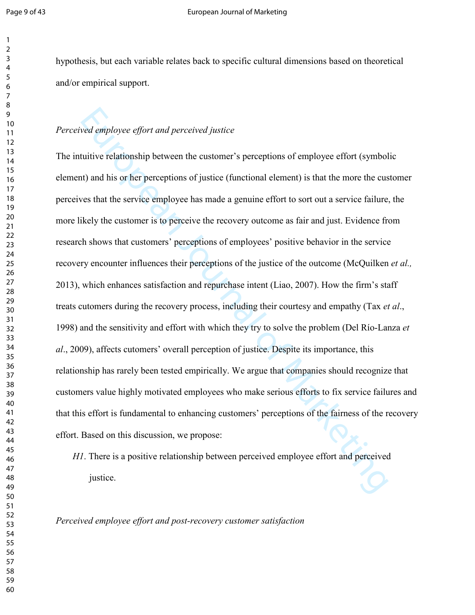hypothesis, but each variable relates back to specific cultural dimensions based on theoretical and/or empirical support.

# Perceived employee effort and perceived justice

*exal employee effort and perceived justice*<br> *Euritive relationship between the eustomer's perceptions of employee effort (symbolt)*<br> **(a)** and his or her perceptions of justice (functional element) is that the more the c The intuitive relationship between the customer's perceptions of employee effort (symbolic element) and his or her perceptions of justice (functional element) is that the more the customer perceives that the service employee has made a genuine effort to sort out a service failure, the more likely the customer is to perceive the recovery outcome as fair and just. Evidence from research shows that customers' perceptions of employees' positive behavior in the service recovery encounter influences their perceptions of the justice of the outcome (McQuilken *et al.*, 2013), which enhances satisfaction and repurchase intent (Liao, 2007). How the firm's staff treats cutomers during the recovery process, including their courtesy and empathy (Tax *et al.*, 1998) and the sensitivity and effort with which they try to solve the problem (Del Río-Lanza *et* al., 2009), affects cutomers' overall perception of justice. Despite its importance, this relationship has rarely been tested empirically. We argue that companies should recognize that customers value highly motivated employees who make serious efforts to fix service failures and that this effort is fundamental to enhancing customers' perceptions of the fairness of the recovery effort. Based on this discussion, we propose:

. There is a positive relationship between perceived employee effort and perceived justice.

*Perceived employee effort and post-recovery customer satisfaction*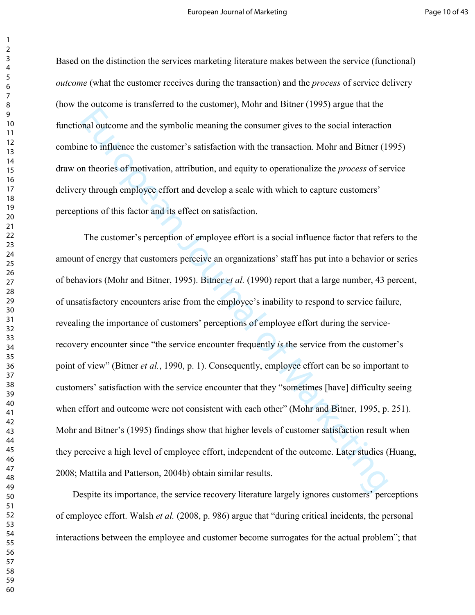Based on the distinction the services marketing literature makes between the service (functional) *outcome* (what the customer receives during the transaction) and the *process* of service delivery (how the outcome is transferred to the customer), Mohr and Bitner (1995) argue that the functional outcome and the symbolic meaning the consumer gives to the social interaction combine to influence the customer's satisfaction with the transaction. Mohr and Bitner (1995) draw on theories of motivation, attribution, and equity to operationalize the *process* of service delivery through employee effort and develop a scale with which to capture customers' perceptions of this factor and its effect on satisfaction.

and outcome and the symbolic meaning the consumer gives to the social interaction<br>to the to influence the customer's satisfaction with the transaction. Mohr and Bitner (1<sup>t</sup><br>in theories of motivation, attribution, and equ The customer's perception of employee effort is a social influence factor that refers to the amount of energy that customers perceive an organizations' staff has put into a behavior or series of behaviors (Mohr and Bitner, 1995). Bitner *et al.* (1990) report that a large number, 43 percent, of unsatisfactory encounters arise from the employee's inability to respond to service failure, revealing the importance of customers' perceptions of employee effort during the service recovery encounter since "the service encounter frequently *is* the service from the customer's point of view" (Bitner *et al.*, 1990, p. 1). Consequently, employee effort can be so important to customers' satisfaction with the service encounter that they "sometimes [have] difficulty seeing when effort and outcome were not consistent with each other" (Mohr and Bitner, 1995, p. 251). Mohr and Bitner's (1995) findings show that higher levels of customer satisfaction result when they perceive a high level of employee effort, independent of the outcome. Later studies (Huang, 2008; Mattila and Patterson, 2004b) obtain similar results.

Despite its importance, the service recovery literature largely ignores customers' perceptions of employee effort. Walsh *et al.* (2008, p. 986) argue that "during critical incidents, the personal interactions between the employee and customer become surrogates for the actual problem"; that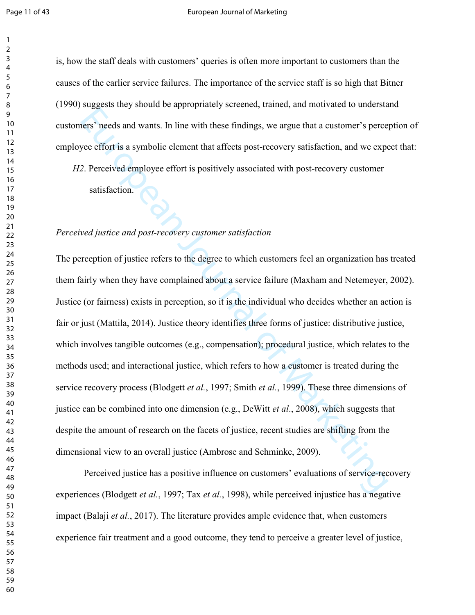#### Page 11 of 43 **Page 11 of 43** European Journal of Marketing

is, how the staff deals with customers' queries is often more important to customers than the causes of the earlier service failures. The importance of the service staff is so high that Bitner (1990) suggests they should be appropriately screened, trained, and motivated to understand customers' needs and wants. In line with these findings, we argue that a customer's perception of employee effort is a symbolic element that affects post-recovery satisfaction, and we expect that:

*H2*. Perceived employee effort is positively associated with post-recovery customer

satisfaction.

### Perceived justice and post-recovery customer satisfaction

Engine any antitation primally activity for the sympath and wants. In line with these findings, we argue that a customer's percever effort is a symbolic element that affects post-recovery satisfaction, and we expect 2. Pe The perception of justice refers to the degree to which customers feel an organization has treated them fairly when they have complained about a service failure (Maxham and Netemeyer, 2002). Justice (or fairness) exists in perception, so it is the individual who decides whether an action is fair or just (Mattila, 2014). Justice theory identifies three forms of justice: distributive justice, which involves tangible outcomes (e.g., compensation); procedural justice, which relates to the methods used; and interactional justice, which refers to how a customer is treated during the service recovery process (Blodgett *et al.*, 1997; Smith *et al.*, 1999). These three dimensions of justice can be combined into one dimension (e.g., DeWitt *et al.*, 2008), which suggests that despite the amount of research on the facets of justice, recent studies are shifting from the dimensional view to an overall justice (Ambrose and Schminke, 2009).

Perceived justice has a positive influence on customers' evaluations of service-recovery experiences (Blodgett *et al.*, 1997; Tax *et al.*, 1998), while perceived injustice has a negative impact (Balaji *et al.*, 2017). The literature provides ample evidence that, when customers experience fair treatment and a good outcome, they tend to perceive a greater level of justice,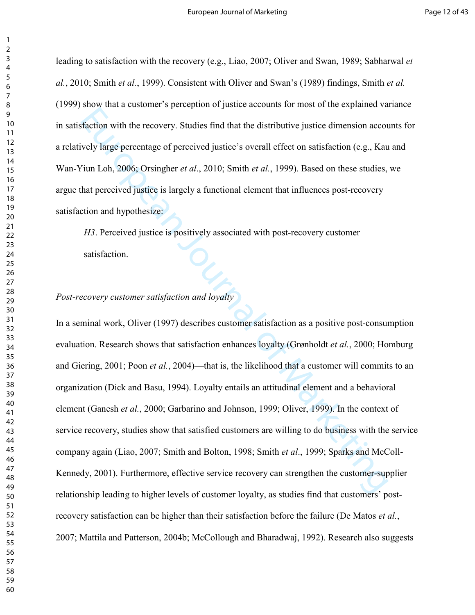leading to satisfaction with the recovery (e.g., Liao, 2007; Oliver and Swan, 1989; Sabharwal *et* al., 2010; Smith *et al.*, 1999). Consistent with Oliver and Swan's (1989) findings, Smith *et al.* (1999) show that a customer's perception of justice accounts for most of the explained variance in satisfaction with the recovery. Studies find that the distributive justice dimension accounts for a relatively large percentage of perceived justice's overall effect on satisfaction (e.g., Kau and Wan-Yiun Loh, 2006; Orsingher *et al.*, 2010; Smith *et al.*, 1999). Based on these studies, we argue that perceived justice is largely a functional element that influences postrecovery satisfaction and hypothesize:

H3. Perceived justice is positively associated with post-recovery customer satisfaction.

### *Post-recovery customer satisfaction and loyalty*

European Journal of the transmission accounts and the distributive justice dimension account the meta-<br>
year of percentage of perceived justice's overall effect on satisfaction (e.g., Kautium Loh, 2006; Orsingher *et al.* In a seminal work, Oliver (1997) describes customer satisfaction as a positive post-consumption evaluation. Research shows that satisfaction enhances loyalty (Grønholdt *et al.*, 2000; Homburg and Giering, 2001; Poon *et al.*, 2004)—that is, the likelihood that a customer will commits to an organization (Dick and Basu, 1994). Loyalty entails an attitudinal element and a behavioral element (Ganesh *et al.*, 2000; Garbarino and Johnson, 1999; Oliver, 1999). In the context of service recovery, studies show that satisfied customers are willing to do business with the service company again (Liao, 2007; Smith and Bolton, 1998; Smith *et al.*, 1999; Sparks and McColl-Kennedy, 2001). Furthermore, effective service recovery can strengthen the customer-supplier relationship leading to higher levels of customer loyalty, as studies find that customers' post recovery satisfaction can be higher than their satisfaction before the failure (De Matos *et al.*, 2007; Mattila and Patterson, 2004b; McCollough and Bharadwaj, 1992). Research also suggests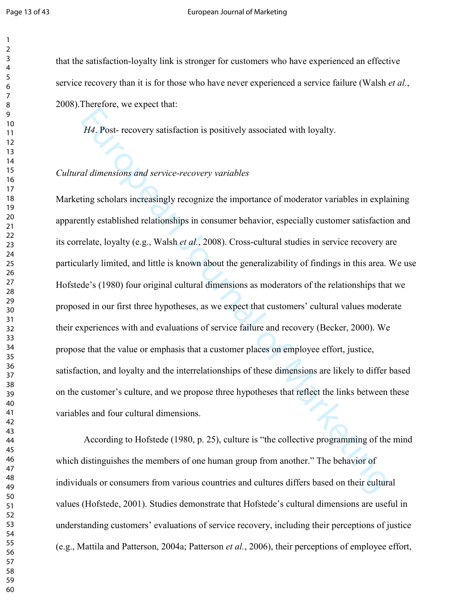#### Page 13 of 43 **Page 13 of 43** European Journal of Marketing

that the satisfaction-loyalty link is stronger for customers who have experienced an effective service recovery than it is for those who have never experienced a service failure (Walsh *et al.*, 2008).Therefore, we expect that:

H4. Post-recovery satisfaction is positively associated with loyalty.

# Cultural dimensions and service-recovery variables

*II4*. Post- recovery satisfaction is positively associated with loyalty.<br> *II4*. Post- recovery satisfaction is positively associated with loyalty.<br> *ad dimensions and service-recovery variables*<br>
ting scholars increasin Marketing scholars increasingly recognize the importance of moderator variables in explaining apparently established relationships in consumer behavior, especially customer satisfaction and its correlate, loyalty (e.g., Walsh *et al.*, 2008). Cross-cultural studies in service recovery are particularly limited, and little is known about the generalizability of findings in this area. We use Hofstede's (1980) four original cultural dimensions as moderators of the relationships that we proposed in our first three hypotheses, as we expect that customers' cultural values moderate their experiences with and evaluations of service failure and recovery (Becker, 2000). We propose that the value or emphasis that a customer places on employee effort, justice, satisfaction, and loyalty and the interrelationships of these dimensions are likely to differ based on the customer's culture, and we propose three hypotheses that reflect the links between these variables and four cultural dimensions.

According to Hofstede (1980, p. 25), culture is "the collective programming of the mind which distinguishes the members of one human group from another." The behavior of individuals or consumers from various countries and cultures differs based on their cultural values (Hofstede, 2001). Studies demonstrate that Hofstede's cultural dimensions are useful in understanding customers' evaluations of service recovery, including their perceptions of justice (e.g., Mattila and Patterson, 2004a; Patterson *et al.*, 2006), their perceptions of employee effort,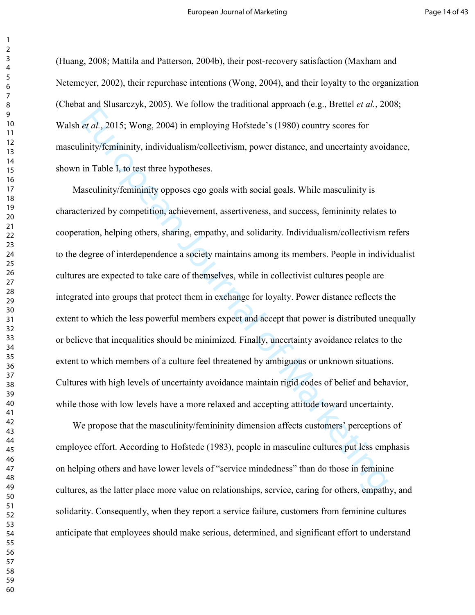(Huang, 2008; Mattila and Patterson, 2004b), their postrecovery satisfaction (Maxham and Netemeyer, 2002), their repurchase intentions (Wong, 2004), and their loyalty to the organization (Chebat and Slusarczyk, 2005). We follow the traditional approach (e.g., Brettel *et al.*, 2008; Walsh *et al.*, 2015; Wong, 2004) in employing Hofstede's (1980) country scores for masculinity/femininity, individualism/collectivism, power distance, and uncertainty avoidance, shown in Table I, to test three hypotheses.

et al., 2015; Wong, 2004) in employing Hofstede's (1980) country scores for<br>inity/femininity, individualism/collectivism, power distance, and uncertainty avoid<br>in Table 1, to test three hypotheses.<br>asculinity/femininity op Masculinity/femininity opposes ego goals with social goals. While masculinity is characterized by competition, achievement, assertiveness, and success, femininity relates to cooperation, helping others, sharing, empathy, and solidarity. Individualism/collectivism refers to the degree of interdependence a society maintains among its members. People in individualist cultures are expected to take care of themselves, while in collectivist cultures people are integrated into groups that protect them in exchange for loyalty. Power distance reflects the extent to which the less powerful members expect and accept that power is distributed unequally or believe that inequalities should be minimized. Finally, uncertainty avoidance relates to the extent to which members of a culture feel threatened by ambiguous or unknown situations. Cultures with high levels of uncertainty avoidance maintain rigid codes of belief and behavior, while those with low levels have a more relaxed and accepting attitude toward uncertainty.

We propose that the masculinity/femininity dimension affects customers' perceptions of employee effort. According to Hofstede (1983), people in masculine cultures put less emphasis on helping others and have lower levels of "service mindedness" than do those in feminine cultures, as the latter place more value on relationships, service, caring for others, empathy, and solidarity. Consequently, when they report a service failure, customers from feminine cultures anticipate that employees should make serious, determined, and significant effort to understand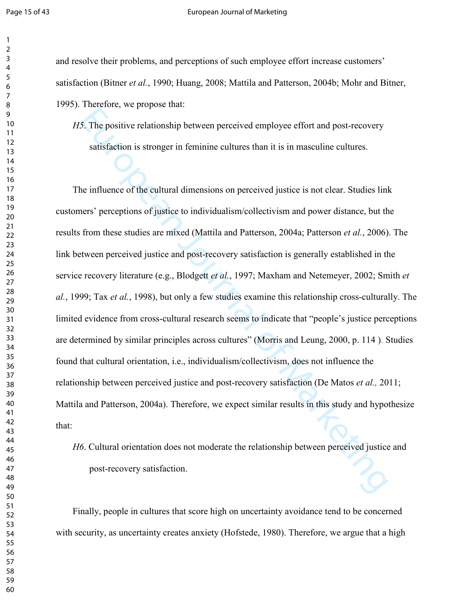#### Page 15 of 43 European Journal of Marketing

and resolve their problems, and perceptions of such employee effort increase customers' satisfaction (Bitner *et al.*, 1990; Huang, 2008; Mattila and Patterson, 2004b; Mohr and Bitner, 1995). Therefore, we propose that:

. The positive relationship between perceived employee effort and postrecovery satisfaction is stronger in feminine cultures than it is in masculine cultures.

European manner of the protocompleme manner of the positive relationship between perceived employee effort and post-recovery satisfaction is stronger in feminine cultures than it is in masculine cultures.<br>
in fluence of t The influence of the cultural dimensions on perceived justice is not clear. Studies link customers' perceptions of justice to individualism/collectivism and power distance, but the results from these studies are mixed (Mattila and Patterson, 2004a; Patterson *et al.*, 2006). The link between perceived justice and post-recovery satisfaction is generally established in the service recovery literature (e.g., Blodgett *et al.*, 1997; Maxham and Netemeyer, 2002; Smith *et* al., 1999; Tax *et al.*, 1998), but only a few studies examine this relationship cross-culturally. The limited evidence from cross-cultural research seems to indicate that "people's justice perceptions" are determined by similar principles across cultures" (Morris and Leung, 2000, p. 114 ). Studies found that cultural orientation, i.e., individualism/collectivism, does not influence the relationship between perceived justice and post-recovery satisfaction (De Matos *et al.*, 2011; Mattila and Patterson, 2004a). Therefore, we expect similar results in this study and hypothesize that:

*H*<sub>6</sub>. Cultural orientation does not moderate the relationship between perceived justice and post-recovery satisfaction.

Finally, people in cultures that score high on uncertainty avoidance tend to be concerned with security, as uncertainty creates anxiety (Hofstede, 1980). Therefore, we argue that a high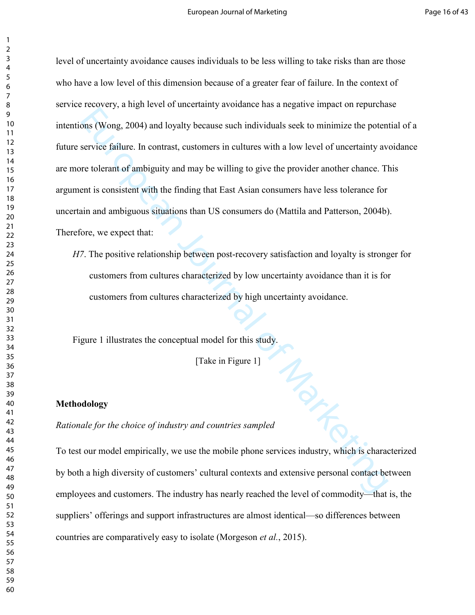European Journal of Marketing School increases the individuals seck to minimize the potent<br>service failure. In contrast, customers in cultures with a low level of uncertainty ave<br>refolerant of ambiguity and may be willing level of uncertainty avoidance causes individuals to be less willing to take risks than are those who have a low level of this dimension because of a greater fear of failure. In the context of service recovery, a high level of uncertainty avoidance has a negative impact on repurchase intentions (Wong, 2004) and loyalty because such individuals seek to minimize the potential of a future service failure. In contrast, customers in cultures with a low level of uncertainty avoidance are more tolerant of ambiguity and may be willing to give the provider another chance. This argument is consistent with the finding that East Asian consumers have less tolerance for uncertain and ambiguous situations than US consumers do (Mattila and Patterson, 2004b). Therefore, we expect that:

*H7*. The positive relationship between post-recovery satisfaction and loyalty is stronger for customers from cultures characterized by low uncertainty avoidance than it is for customers from cultures characterized by high uncertainty avoidance.

Figure 1 illustrates the conceptual model for this study.

[Take in Figure 1]

#### **Methodology**

Rationale for the choice of industry and countries sampled

To test our model empirically, we use the mobile phone services industry, which is characterized by both a high diversity of customers' cultural contexts and extensive personal contact between employees and customers. The industry has nearly reached the level of commodity—that is, the suppliers' offerings and support infrastructures are almost identical—so differences between countries are comparatively easy to isolate (Morgeson *et al.*, 2015).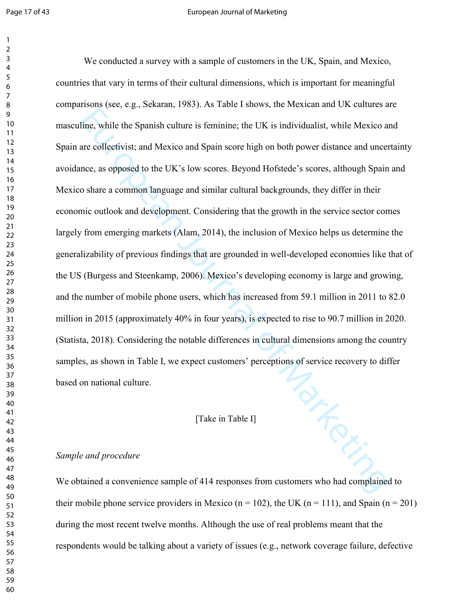#### Page 17 of 43 **Page 17 of 43** European Journal of Marketing

Toning We conducted a survey with a sample of customers in the UK, Spain, and Mexico, countries that vary in terms of their cultural dimensions, which is important for meaningful comparisons (see, e.g., Sekaran, 1983). As Table I shows, the Mexican and UK cultures are masculine, while the Spanish culture is feminine; the UK is individualist, while Mexico and Spain are collectivist; and Mexico and Spain score high on both power distance and uncertainty avoidance, as opposed to the UK's low scores. Beyond Hofstede's scores, although Spain and Mexico share a common language and similar cultural backgrounds, they differ in their economic outlook and development. Considering that the growth in the service sector comes largely from emerging markets (Alam, 2014), the inclusion of Mexico helps us determine the generalizability of previous findings that are grounded in well-developed economies like that of the US (Burgess and Steenkamp, 2006). Mexico's developing economy is large and growing, and the number of mobile phone users, which has increased from 59.1 million in 2011 to 82.0 million in 2015 (approximately 40% in four years), is expected to rise to 90.7 million in 2020. (Statista, 2018). Considering the notable differences in cultural dimensions among the country samples, as shown in Table I, we expect customers' perceptions of service recovery to differ based on national culture.

# [Take in Table I]

# Sample and procedure

We obtained a convenience sample of 414 responses from customers who had complained to their mobile phone service providers in Mexico ( $n = 102$ ), the UK ( $n = 111$ ), and Spain ( $n = 201$ ) during the most recent twelve months. Although the use of real problems meant that the respondents would be talking about a variety of issues (e.g., network coverage failure, defective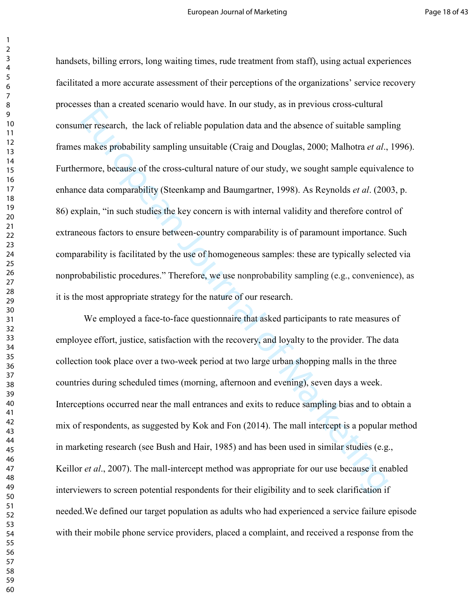European Marketing unsultable propulation data and the absence of suitable samply makes probability sampling unsuitable (Craig and Douglas, 2000; Malhotra et al., more, because of the cross-cultural nature of our study, w handsets, billing errors, long waiting times, rude treatment from staff), using actual experiences facilitated a more accurate assessment of their perceptions of the organizations' service recovery processes than a created scenario would have. In our study, as in previous cross-cultural consumer research, the lack of reliable population data and the absence of suitable sampling frames makes probability sampling unsuitable (Craig and Douglas, 2000; Malhotra *et al.*, 1996). Furthermore, because of the cross-cultural nature of our study, we sought sample equivalence to enhance data comparability (Steenkamp and Baumgartner, 1998). As Reynolds *et al.* (2003, p. 86) explain, "in such studies the key concern is with internal validity and therefore control of extraneous factors to ensure between-country comparability is of paramount importance. Such comparability is facilitated by the use of homogeneous samples: these are typically selected via nonprobabilistic procedures." Therefore, we use nonprobability sampling (e.g., convenience), as it is the most appropriate strategy for the nature of our research.

We employed a face-to-face questionnaire that asked participants to rate measures of employee effort, justice, satisfaction with the recovery, and loyalty to the provider. The data collection took place over a two-week period at two large urban shopping malls in the three countries during scheduled times (morning, afternoon and evening), seven days a week. Interceptions occurred near the mall entrances and exits to reduce sampling bias and to obtain a mix of respondents, as suggested by Kok and Fon (2014). The mall intercept is a popular method in marketing research (see Bush and Hair, 1985) and has been used in similar studies (e.g., Keillor *et al.*, 2007). The mall-intercept method was appropriate for our use because it enabled interviewers to screen potential respondents for their eligibility and to seek clarification if needed.We defined our target population as adults who had experienced a service failure episode with their mobile phone service providers, placed a complaint, and received a response from the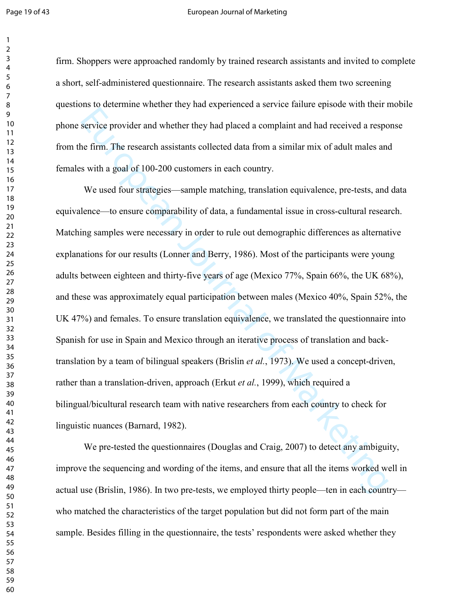#### Page 19 of 43 European Journal of Marketing

firm. Shoppers were approached randomly by trained research assistants and invited to complete a short, self-administered questionnaire. The research assistants asked them two screening questions to determine whether they had experienced a service failure episode with their mobile phone service provider and whether they had placed a complaint and had received a response from the firm. The research assistants collected data from a similar mix of adult males and females with a goal of 100-200 customers in each country.

service provider and whether they had placed a complaint and had received a resperterent. The research assistants collected data from a similar mix of adult males and with a goal of 100-200 customers in each country.<br>We u We used four strategies—sample matching, translation equivalence, pre-tests, and data equivalence—to ensure comparability of data, a fundamental issue in cross-cultural research. Matching samples were necessary in order to rule out demographic differences as alternative explanations for our results (Lonner and Berry, 1986). Most of the participants were young adults between eighteen and thirty-five years of age (Mexico  $77\%$ , Spain  $66\%$ , the UK  $68\%$ ), and these was approximately equal participation between males (Mexico 40%, Spain 52%, the UK 47%) and females. To ensure translation equivalence, we translated the questionnaire into Spanish for use in Spain and Mexico through an iterative process of translation and back translation by a team of bilingual speakers (Brislin *et al.*, 1973). We used a concept-driven, rather than a translation-driven, approach (Erkut et al., 1999), which required a bilingual/bicultural research team with native researchers from each country to check for linguistic nuances (Barnard, 1982).

We pre-tested the questionnaires (Douglas and Craig, 2007) to detect any ambiguity, improve the sequencing and wording of the items, and ensure that all the items worked well in actual use (Brislin, 1986). In two pre-tests, we employed thirty people—ten in each country who matched the characteristics of the target population but did not form part of the main sample. Besides filling in the questionnaire, the tests' respondents were asked whether they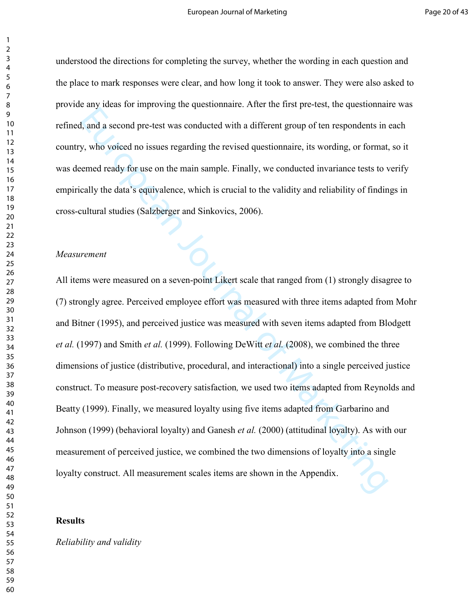understood the directions for completing the survey, whether the wording in each question and the place to mark responses were clear, and how long it took to answer. They were also asked to provide any ideas for improving the questionnaire. After the first pre-test, the questionnaire was refined, and a second pre-test was conducted with a different group of ten respondents in each country, who voiced no issues regarding the revised questionnaire, its wording, or format, so it was deemed ready for use on the main sample. Finally, we conducted invariance tests to verify empirically the data's equivalence, which is crucial to the validity and reliability of findings in cross-cultural studies (Salzberger and Sinkovics, 2006).

### $Measurement$

European Application with a different group of ten respondents in a succeord pro-test was conducted with a different group of ten respondents in sy, who voiced no issues regarding the revised questionnaire, its wording, o All items were measured on a seven-point Likert scale that ranged from (1) strongly disagree to (7) strongly agree. Perceived employee effort was measured with three items adapted from Mohr and Bitner (1995), and perceived justice was measured with seven items adapted from Blodgett *et al.* (1997) and Smith *et al.* (1999). Following DeWitt *et al.* (2008), we combined the three dimensions of justice (distributive, procedural, and interactional) into a single perceived justice construct. To measure post-recovery satisfaction, we used two items adapted from Reynolds and Beatty (1999). Finally, we measured loyalty using five items adapted from Garbarino and Johnson (1999) (behavioral loyalty) and Ganesh *et al.* (2000) (attitudinal loyalty). As with our measurement of perceived justice, we combined the two dimensions of loyalty into a single loyalty construct. All measurement scales items are shown in the Appendix.

# **Results**

**Reliability and validity**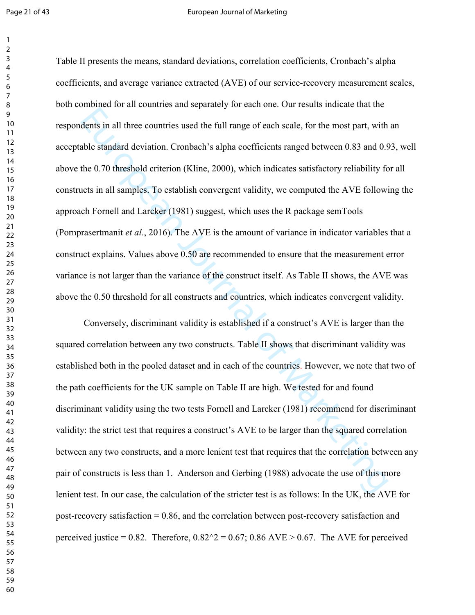#### Page 21 of 43 European Journal of Marketing

dents in all three countries used the full range of each seale, for the most part, with<br>bibe standard deviation. Cronbach's alpha coefficients ranged between 0.83 and 0.5<br>the 0.70 threshold criterion (Kline, 2000), which i Table II presents the means, standard deviations, correlation coefficients, Cronbach's alpha coefficients, and average variance extracted (AVE) of our service-recovery measurement scales, both combined for all countries and separately for each one. Our results indicate that the respondents in all three countries used the full range of each scale, for the most part, with an acceptable standard deviation. Cronbach's alpha coefficients ranged between 0.83 and 0.93, well above the 0.70 threshold criterion (Kline, 2000), which indicates satisfactory reliability for all constructs in all samples. To establish convergent validity, we computed the AVE following the approach Fornell and Larcker (1981) suggest, which uses the R package semTools (Pornprasertmanit *et al.*, 2016). The AVE is the amount of variance in indicator variables that a construct explains. Values above 0.50 are recommended to ensure that the measurement error variance is not larger than the variance of the construct itself. As Table II shows, the AVE was above the 0.50 threshold for all constructs and countries, which indicates convergent validity.

Conversely, discriminant validity is established if a construct's AVE is larger than the squared correlation between any two constructs. Table II shows that discriminant validity was established both in the pooled dataset and in each of the countries. However, we note that two of the path coefficients for the UK sample on Table II are high. We tested for and found discriminant validity using the two tests Fornell and Larcker (1981) recommend for discriminant validity: the strict test that requires a construct's AVE to be larger than the squared correlation between any two constructs, and a more lenient test that requires that the correlation between any pair of constructs is less than 1. Anderson and Gerbing (1988) advocate the use of this more lenient test. In our case, the calculation of the stricter test is as follows: In the UK, the AVE for post-recovery satisfaction  $= 0.86$ , and the correlation between post-recovery satisfaction and perceived justice = 0.82. Therefore,  $0.82^2 = 0.67$ ; 0.86 AVE > 0.67. The AVE for perceived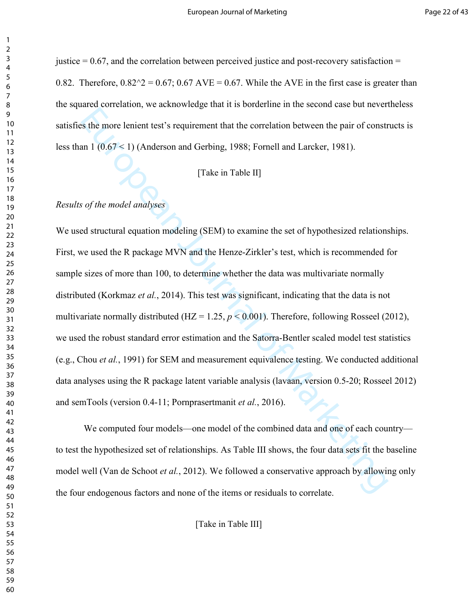justice  $= 0.67$ , and the correlation between perceived justice and post-recovery satisfaction  $=$ 0.82. Therefore,  $0.82^{\prime\prime}2 = 0.67$ ;  $0.67$  AVE = 0.67. While the AVE in the first case is greater than the squared correlation, we acknowledge that it is borderline in the second case but nevertheless satisfies the more lenient test's requirement that the correlation between the pair of constructs is less than 1 (0.67 < 1) (Anderson and Gerbing, 1988; Fornell and Larcker, 1981).

# [Take in Table II]

### Results of the model analyses

European Marketing, the transmission of the correlation between the pair of constraints the more lenient test's requirement that the correlation between the pair of constraint 1 (0.67 < 1) (Anderson and Gerbing, 1988; For We used structural equation modeling (SEM) to examine the set of hypothesized relationships. First, we used the R package MVN and the Henze-Zirkler's test, which is recommended for sample sizes of more than 100, to determine whether the data was multivariate normally distributed (Korkmaz et al., 2014). This test was significant, indicating that the data is not multivariate normally distributed (HZ = 1.25,  $p < 0.001$ ). Therefore, following Rosseel (2012), we used the robust standard error estimation and the Satorra-Bentler scaled model test statistics (e.g., Chou *et al.*, 1991) for SEM and measurement equivalence testing. We conducted additional data analyses using the R package latent variable analysis (lavaan, version 0.520; Rosseel 2012) and semTools (version 0.4-11; Pornprasertmanit *et al.*, 2016).

We computed four models—one model of the combined data and one of each country to test the hypothesized set of relationships. As Table III shows, the four data sets fit the baseline model well (Van de Schoot et al., 2012). We followed a conservative approach by allowing only the four endogenous factors and none of the items or residuals to correlate.

[Take in Table III]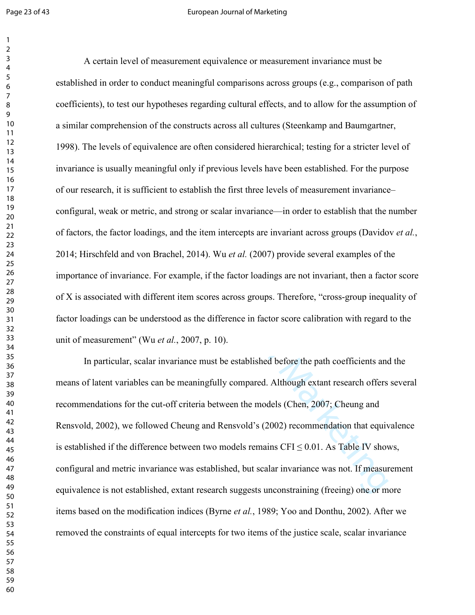#### Page 23 of 43 **European Journal of Marketing**

are omprehension of the constructs across all cultures (Steenkamp and Baumgartne<br>
are comprehension of the constructs across all cultures (Steenkamp and Baumgartne<br>
The levels of equivalence are often considered hierarchi A certain level of measurement equivalence or measurement invariance must be established in order to conduct meaningful comparisons across groups (e.g., comparison of path coefficients), to test our hypotheses regarding cultural effects, and to allow for the assumption of a similar comprehension of the constructs across all cultures (Steenkamp and Baumgartner, 1998). The levels of equivalence are often considered hierarchical; testing for a stricter level of invariance is usually meaningful only if previous levels have been established. For the purpose of our research, it is sufficient to establish the first three levels of measurement invariance– configural, weak or metric, and strong or scalar invariance—in order to establish that the number of factors, the factor loadings, and the item intercepts are invariant across groups (Davidov *et al.*, 2014; Hirschfeld and von Brachel, 2014). Wu *et al.* (2007) provide several examples of the importance of invariance. For example, if the factor loadings are not invariant, then a factor score of X is associated with different item scores across groups. Therefore, "cross-group inequality of factor loadings can be understood as the difference in factor score calibration with regard to the unit of measurement" (Wu *et al.*, 2007, p. 10).

In particular, scalar invariance must be established before the path coefficients and the means of latent variables can be meaningfully compared. Although extant research offers several recommendations for the cut-off criteria between the models (Chen, 2007; Cheung and Rensvold, 2002), we followed Cheung and Rensvold's (2002) recommendation that equivalence is established if the difference between two models remains  $CFI \leq 0.01$ . As Table IV shows, configural and metric invariance was established, but scalar invariance was not. If measurement equivalence is not established, extant research suggests unconstraining (freeing) one or more items based on the modification indices (Byrne *et al.*, 1989; Yoo and Donthu, 2002). After we removed the constraints of equal intercepts for two items of the justice scale, scalar invariance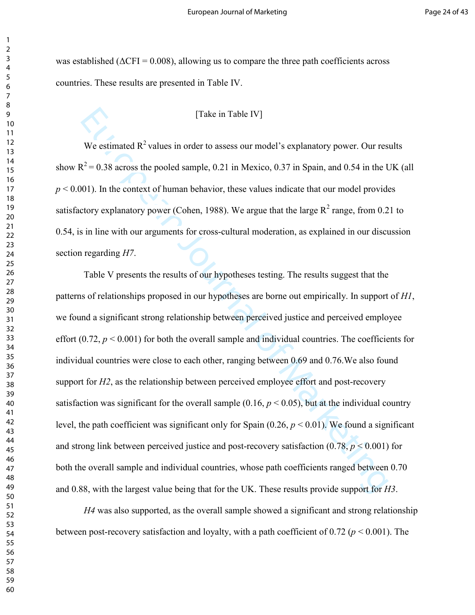was established ( $\Delta$ CFI = 0.008), allowing us to compare the three path coefficients across countries. These results are presented in Table IV.

# [Take in Table IV]

We estimated  $R^2$  values in order to assess our model's explanatory power. Our results show  $R^2$  = 0.38 across the pooled sample, 0.21 in Mexico, 0.37 in Spain, and 0.54 in the UK (all  $p < 0.001$ ). In the context of human behavior, these values indicate that our model provides satisfactory explanatory power (Cohen, 1988). We argue that the large  $R^2$  range, from 0.21 to 0.54, is in line with our arguments for cross-cultural moderation, as explained in our discussion section regarding *H*7.

[Take in Table IV]<br>We estimated R<sup>2</sup> values in order to assess our model's explanatory power. Our res<br>  $R^2 = 0.38$  across the pooled sample, 0.21 in Mexico, 0.37 in Spain, and 0.54 in the 1<br>
001). In the context of human Table V presents the results of our hypotheses testing. The results suggest that the patterns of relationships proposed in our hypotheses are borne out empirically. In support of  $H1$ , we found a significant strong relationship between perceived justice and perceived employee effort (0.72,  $p < 0.001$ ) for both the overall sample and individual countries. The coefficients for individual countries were close to each other, ranging between 0.69 and 0.76.We also found support for  $H2$ , as the relationship between perceived employee effort and post-recovery satisfaction was significant for the overall sample  $(0.16, p < 0.05)$ , but at the individual country level, the path coefficient was significant only for Spain  $(0.26, p \le 0.01)$ . We found a significant and strong link between perceived justice and post-recovery satisfaction  $(0.78, p \le 0.001)$  for both the overall sample and individual countries, whose path coefficients ranged between 0.70 and 0.88, with the largest value being that for the UK. These results provide support for  $H3$ .

 $H<sub>4</sub>$  was also supported, as the overall sample showed a significant and strong relationship between post-recovery satisfaction and loyalty, with a path coefficient of 0.72 ( $p < 0.001$ ). The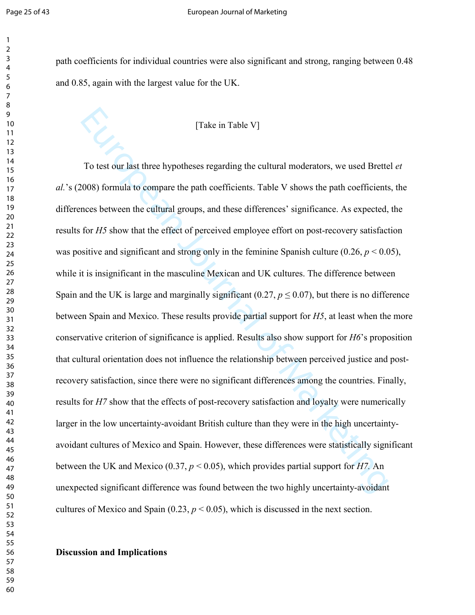#### Page 25 of 43 European Journal of Marketing

path coefficients for individual countries were also significant and strong, ranging between 0.48 and 0.85, again with the largest value for the UK.

# [Take in Table V]

[Take in Table V]<br>
To test our last three hypotheses regarding the cultural moderators, we used Brette<br>
1008) formula to compare the path coefficients. Table V shows the path coefficients<br>
nees between the cultural groups To test our last three hypotheses regarding the cultural moderators, we used Brettel et 's (2008) formula to compare the path coefficients. Table V shows the path coefficients, the differences between the cultural groups, and these differences' significance. As expected, the results for  $H<sub>5</sub>$  show that the effect of perceived employee effort on post-recovery satisfaction was positive and significant and strong only in the feminine Spanish culture  $(0.26, p < 0.05)$ , while it is insignificant in the masculine Mexican and UK cultures. The difference between Spain and the UK is large and marginally significant (0.27,  $p \le 0.07$ ), but there is no difference between Spain and Mexico. These results provide partial support for  $H_2$ , at least when the more conservative criterion of significance is applied. Results also show support for *H6*'s proposition that cultural orientation does not influence the relationship between perceived justice and post recovery satisfaction, since there were no significant differences among the countries. Finally, results for *H*7 show that the effects of post-recovery satisfaction and loyalty were numerically larger in the low uncertainty-avoidant British culture than they were in the high uncertaintyavoidant cultures of Mexico and Spain. However, these differences were statistically significant between the UK and Mexico (0.37,  $p < 0.05$ ), which provides partial support for *H*7. An unexpected significant difference was found between the two highly uncertainty-avoidant cultures of Mexico and Spain (0.23,  $p < 0.05$ ), which is discussed in the next section.

### Discussion and Implications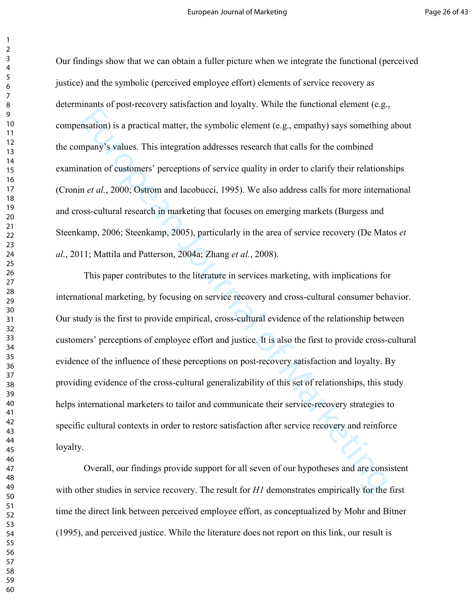Our findings show that we can obtain a fuller picture when we integrate the functional (perceived justice) and the symbolic (perceived employee effort) elements of service recovery as determinants of post-recovery satisfaction and loyalty. While the functional element (e.g., compensation) is a practical matter, the symbolic element (e.g., empathy) says something about the company's values. This integration addresses research that calls for the combined examination of customers' perceptions of service quality in order to clarify their relationships (Cronin *et al.*, 2000; Ostrom and Iacobucci, 1995). We also address calls for more international and cross-cultural research in marketing that focuses on emerging markets (Burgess and Steenkamp, 2006; Steenkamp, 2005), particularly in the area of service recovery (De Matos *et*) *al.*, 2011; Mattila and Patterson, 2004a; Zhang *et al.*, 2008).

Institution) is a practical matter, the symbolic element (e.g., empathy) says something<br>many's values. This integration addresses research that calls for the combined<br>mation of eastemers' perceptions of service quality in This paper contributes to the literature in services marketing, with implications for international marketing, by focusing on service recovery and cross-cultural consumer behavior. Our study is the first to provide empirical, cross-cultural evidence of the relationship between customers' perceptions of employee effort and justice. It is also the first to provide cross-cultural evidence of the influence of these perceptions on postrecovery satisfaction and loyalty. By providing evidence of the cross-cultural generalizability of this set of relationships, this study helps international marketers to tailor and communicate their service-recovery strategies to specific cultural contexts in order to restore satisfaction after service recovery and reinforce loyalty.

Overall, our findings provide support for all seven of our hypotheses and are consistent with other studies in service recovery. The result for  $H1$  demonstrates empirically for the first time the direct link between perceived employee effort, as conceptualized by Mohr and Bitner (1995), and perceived justice. While the literature does not report on this link, our result is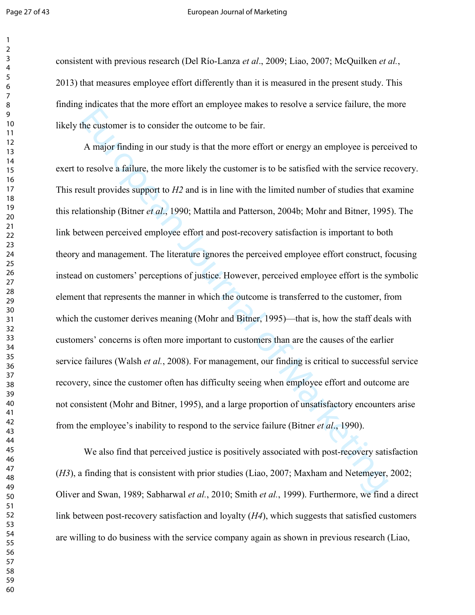#### Page 27 of 43 **European Journal of Marketing**

consistent with previous research (Del Río-Lanza *et al.*, 2009; Liao, 2007; McQuilken *et al.*, 2013) that measures employee effort differently than it is measured in the present study. This finding indicates that the more effort an employee makes to resolve a service failure, the more likely the customer is to consider the outcome to be fair.

European States and States and States (Liao, 2007). We also finding that is considered by the service register and provides support to *H2* and is in line with the limited number of studies that ex-<br>studt provides support A major finding in our study is that the more effort or energy an employee is perceived to exert to resolve a failure, the more likely the customer is to be satisfied with the service recovery. This result provides support to  $H2$  and is in line with the limited number of studies that examine this relationship (Bitner *et al.*, 1990; Mattila and Patterson, 2004b; Mohr and Bitner, 1995). The link between perceived employee effort and post-recovery satisfaction is important to both theory and management. The literature ignores the perceived employee effort construct, focusing instead on customers' perceptions of justice. However, perceived employee effort is the symbolic element that represents the manner in which the outcome is transferred to the customer, from which the customer derives meaning (Mohr and Bitner, 1995)—that is, how the staff deals with customers' concerns is often more important to customers than are the causes of the earlier service failures (Walsh *et al.*, 2008). For management, our finding is critical to successful service recovery, since the customer often has difficulty seeing when employee effort and outcome are not consistent (Mohr and Bitner, 1995), and a large proportion of unsatisfactory encounters arise from the employee's inability to respond to the service failure (Bitner *et al.*, 1990).

We also find that perceived justice is positively associated with post-recovery satisfaction  $(H3)$ , a finding that is consistent with prior studies (Liao, 2007; Maxham and Netemeyer, 2002; Oliver and Swan, 1989; Sabharwal *et al.*, 2010; Smith *et al.*, 1999). Furthermore, we find a direct link between post-recovery satisfaction and loyalty  $(H4)$ , which suggests that satisfied customers are willing to do business with the service company again as shown in previous research (Liao,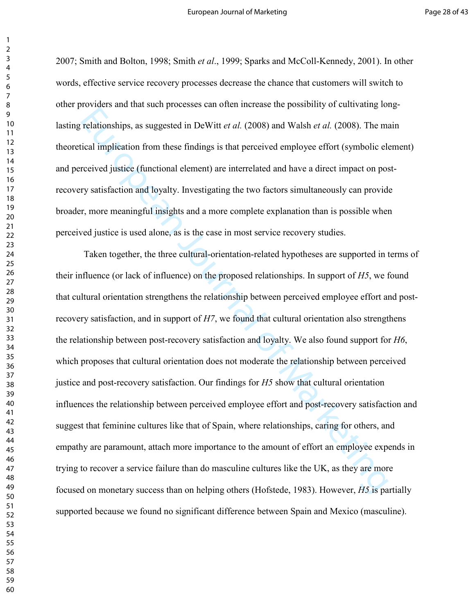2007; Smith and Bolton, 1998; Smith *et al.*, 1999; Sparks and McColl-Kennedy, 2001). In other words, effective service recovery processes decrease the chance that customers will switch to other providers and that such processes can often increase the possibility of cultivating long lasting relationships, as suggested in DeWitt *et al.* (2008) and Walsh *et al.* (2008). The main theoretical implication from these findings is that perceived employee effort (symbolic element) and perceived justice (functional element) are interrelated and have a direct impact on post recovery satisfaction and loyalty. Investigating the two factors simultaneously can provide broader, more meaningful insights and a more complete explanation than is possible when perceived justice is used alone, as is the case in most service recovery studies.

relationships, as suggested in DeWitt et al. (2008) and Walsh et al. (2008). The microlarity relationships, as suggested in DeWitt et al. (2008) and Walsh et al. (2008). The microlarities efficient of Marketing is that pe Taken together, the three cultural-orientation-related hypotheses are supported in terms of their influence (or lack of influence) on the proposed relationships. In support of  $H_2$ , we found that cultural orientation strengthens the relationship between perceived employee effort and post recovery satisfaction, and in support of  $H<sub>7</sub>$ , we found that cultural orientation also strengthens the relationship between post-recovery satisfaction and loyalty. We also found support for *H6*, which proposes that cultural orientation does not moderate the relationship between perceived justice and post-recovery satisfaction. Our findings for  $H<sub>5</sub>$  show that cultural orientation influences the relationship between perceived employee effort and postrecovery satisfaction and suggest that feminine cultures like that of Spain, where relationships, caring for others, and empathy are paramount, attach more importance to the amount of effort an employee expends in trying to recover a service failure than do masculine cultures like the UK, as they are more focused on monetary success than on helping others (Hofstede, 1983). However,  $H_2$  is partially supported because we found no significant difference between Spain and Mexico (masculine).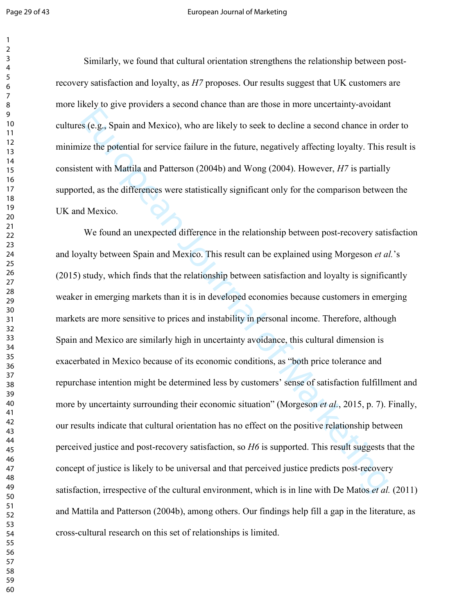#### Page 29 of 43 European Journal of Marketing

Similarly, we found that cultural orientation strengthens the relationship between post recovery satisfaction and loyalty, as *H*7 proposes. Our results suggest that UK customers are more likely to give providers a second chance than are those in more uncertainty-avoidant cultures (e.g., Spain and Mexico), who are likely to seek to decline a second chance in order to minimize the potential for service failure in the future, negatively affecting loyalty. This result is consistent with Mattila and Patterson (2004b) and Wong (2004). However, *H*7 is partially supported, as the differences were statistically significant only for the comparison between the UK and Mexico.

European Mexico), who are likely to seek to decline a second chance in order in the potential for service failure in the future, negatively affecting loyalty. This rent with Mattila and Patterson (2004b) and Wong (2004). We found an unexpected difference in the relationship between post-recovery satisfaction and loyalty between Spain and Mexico. This result can be explained using Morgeson *et al.*'s (2015) study, which finds that the relationship between satisfaction and loyalty is significantly weaker in emerging markets than it is in developed economies because customers in emerging markets are more sensitive to prices and instability in personal income. Therefore, although Spain and Mexico are similarly high in uncertainty avoidance, this cultural dimension is exacerbated in Mexico because of its economic conditions, as "both price tolerance and repurchase intention might be determined less by customers' sense of satisfaction fulfillment and more by uncertainty surrounding their economic situation" (Morgeson *et al.*, 2015, p. 7). Finally, our results indicate that cultural orientation has no effect on the positive relationship between perceived justice and post-recovery satisfaction, so *H6* is supported. This result suggests that the concept of justice is likely to be universal and that perceived justice predicts postrecovery satisfaction, irrespective of the cultural environment, which is in line with De Matos *et al.* (2011) and Mattila and Patterson (2004b), among others. Our findings help fill a gap in the literature, as cross-cultural research on this set of relationships is limited.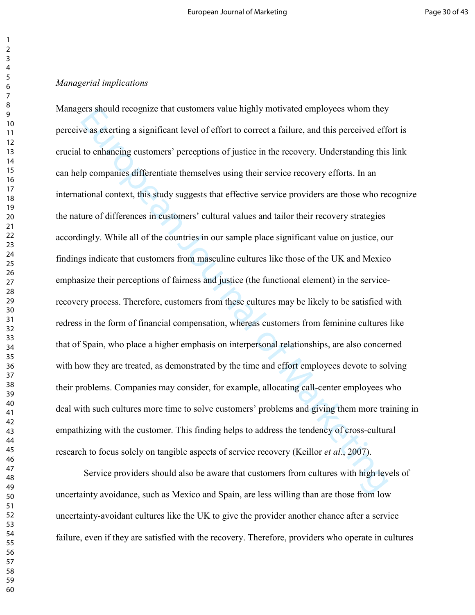### *Managerial implications*

First should recognize that customers value highly motivated employees whom they<br>
or as exerting a significant level of effort to correct a failure, and this perceived efficion<br>
to enhancing customers' perceptions of justi Managers should recognize that customers value highly motivated employees whom they perceive as exerting a significant level of effort to correct a failure, and this perceived effort is crucial to enhancing customers' perceptions of justice in the recovery. Understanding this link can help companies differentiate themselves using their service recovery efforts. In an international context, this study suggests that effective service providers are those who recognize the nature of differences in customers' cultural values and tailor their recovery strategies accordingly. While all of the countries in our sample place significant value on justice, our findings indicate that customers from masculine cultures like those of the UK and Mexico emphasize their perceptions of fairness and justice (the functional element) in the service recovery process. Therefore, customers from these cultures may be likely to be satisfied with redress in the form of financial compensation, whereas customers from feminine cultures like that of Spain, who place a higher emphasis on interpersonal relationships, are also concerned with how they are treated, as demonstrated by the time and effort employees devote to solving their problems. Companies may consider, for example, allocating call-center employees who deal with such cultures more time to solve customers' problems and giving them more training in empathizing with the customer. This finding helps to address the tendency of cross-cultural research to focus solely on tangible aspects of service recovery (Keillor *et al.*, 2007).

Service providers should also be aware that customers from cultures with high levels of uncertainty avoidance, such as Mexico and Spain, are less willing than are those from low uncertainty-avoidant cultures like the UK to give the provider another chance after a service failure, even if they are satisfied with the recovery. Therefore, providers who operate in cultures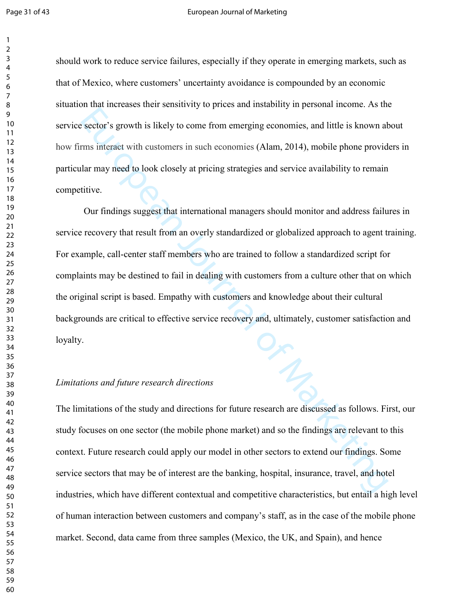#### Page 31 of 43 European Journal of Marketing

should work to reduce service failures, especially if they operate in emerging markets, such as that of Mexico, where customers' uncertainty avoidance is compounded by an economic situation that increases their sensitivity to prices and instability in personal income. As the service sector's growth is likely to come from emerging economies, and little is known about how firms interact with customers in such economies (Alam, 2014), mobile phone providers in particular may need to look closely at pricing strategies and service availability to remain competitive.

European Sections is the study and directions and point is shown at the sector's growth is likely to come from emerging economics, and little is known at the state is may need to look closely at pricing strategies and serv Our findings suggest that international managers should monitor and address failures in service recovery that result from an overly standardized or globalized approach to agent training. For example, call-center staff members who are trained to follow a standardized script for complaints may be destined to fail in dealing with customers from a culture other that on which the original script is based. Empathy with customers and knowledge about their cultural backgrounds are critical to effective service recovery and, ultimately, customer satisfaction and loyalty.

### Limitations and future research directions

The limitations of the study and directions for future research are discussed as follows. First, our study focuses on one sector (the mobile phone market) and so the findings are relevant to this context. Future research could apply our model in other sectors to extend our findings. Some service sectors that may be of interest are the banking, hospital, insurance, travel, and hotel industries, which have different contextual and competitive characteristics, but entail a high level of human interaction between customers and company's staff, as in the case of the mobile phone market. Second, data came from three samples (Mexico, the UK, and Spain), and hence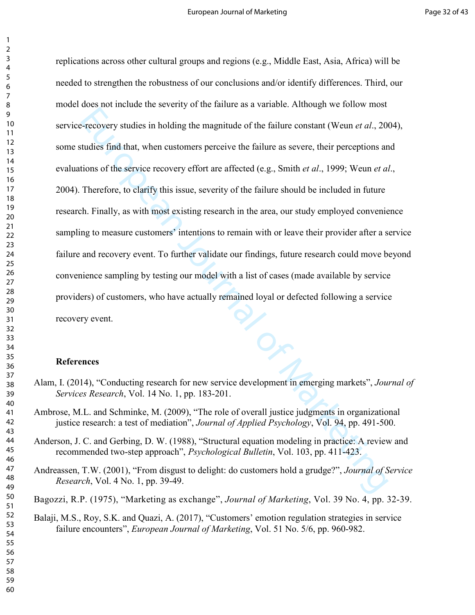European States in holding the magnitude of the failure constant (Weum *et al.*, 20<br>tudies find that, when customers perceive the failure as severe, their perceptions and<br>tions of the service recovery effort are affected replications across other cultural groups and regions (e.g., Middle East, Asia, Africa) will be needed to strengthen the robustness of our conclusions and/or identify differences. Third, our model does not include the severity of the failure as a variable. Although we follow most service-recovery studies in holding the magnitude of the failure constant (Weun *et al.*, 2004), some studies find that, when customers perceive the failure as severe, their perceptions and evaluations of the service recovery effort are affected (e.g., Smith *et al.*, 1999; Weun *et al.*, 2004). Therefore, to clarify this issue, severity of the failure should be included in future research. Finally, as with most existing research in the area, our study employed convenience sampling to measure customers' intentions to remain with or leave their provider after a service failure and recovery event. To further validate our findings, future research could move beyond convenience sampling by testing our model with a list of cases (made available by service providers) of customers, who have actually remained loyal or defected following a service recovery event.

# **References**

- Alam, I. (2014), "Conducting research for new service development in emerging markets", *Journal of Services Research*, Vol. 14 No. 1, pp. 183-201.
- Ambrose, M.L. and Schminke, M. (2009), "The role of overall justice judgments in organizational justice research: a test of mediation", *Journal of Applied Psychology*, Vol. 94, pp. 491-500.
- Anderson, J. C. and Gerbing, D. W. (1988), "Structural equation modeling in practice: A review and recommended two-step approach", *Psychological Bulletin*, Vol. 103, pp. 411-423.
- Andreassen, T.W. (2001), "From disgust to delight: do customers hold a grudge?", *Journal of Service Research*, Vol. 4 No. 1, pp. 39-49.
- Bagozzi, R.P. (1975), "Marketing as exchange", *Journal of Marketing*, Vol. 39 No. 4, pp. 32-39.
	- Balaji, M.S., Roy, S.K. and Quazi, A. (2017), "Customers' emotion regulation strategies in service failure encounters", *European Journal of Marketing*, Vol. 51 No. 5/6, pp. 960-982.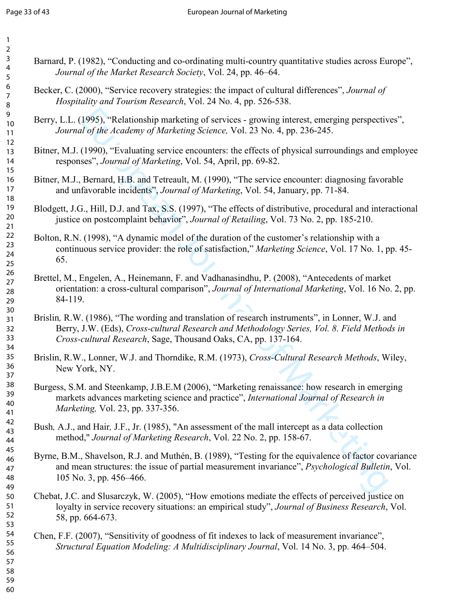| $\overline{2}$                               |                                                                                                                                                                                                                                                                   |
|----------------------------------------------|-------------------------------------------------------------------------------------------------------------------------------------------------------------------------------------------------------------------------------------------------------------------|
| $\mathbf{3}$<br>$\overline{4}$<br>$\sqrt{5}$ | Barnard, P. (1982), "Conducting and co-ordinating multi-country quantitative studies across Europe",<br>Journal of the Market Research Society, Vol. 24, pp. 46–64.                                                                                               |
| $\boldsymbol{6}$<br>$\overline{7}$<br>8      | Becker, C. (2000), "Service recovery strategies: the impact of cultural differences", <i>Journal of</i><br>Hospitality and Tourism Research, Vol. 24 No. 4, pp. 526-538.                                                                                          |
| 9<br>10<br>11                                | Berry, L.L. (1995), "Relationship marketing of services - growing interest, emerging perspectives",<br>Journal of the Academy of Marketing Science, Vol. 23 No. 4, pp. 236-245.                                                                                   |
| 12<br>13<br>14<br>15                         | Bitner, M.J. (1990), "Evaluating service encounters: the effects of physical surroundings and employee<br>responses", Journal of Marketing, Vol. 54, April, pp. 69-82.                                                                                            |
| 16<br>17<br>18                               | Bitner, M.J., Bernard, H.B. and Tetreault, M. (1990), "The service encounter: diagnosing favorable<br>and unfavorable incidents", Journal of Marketing, Vol. 54, January, pp. 71-84.                                                                              |
| 19<br>20<br>21                               | Blodgett, J.G., Hill, D.J. and Tax, S.S. (1997), "The effects of distributive, procedural and interactional<br>justice on postcomplaint behavior", Journal of Retailing, Vol. 73 No. 2, pp. 185-210.                                                              |
| 22<br>23<br>24<br>25                         | Bolton, R.N. (1998), "A dynamic model of the duration of the customer's relationship with a<br>continuous service provider: the role of satisfaction," Marketing Science, Vol. 17 No. 1, pp. 45-<br>65.                                                           |
| 26<br>27<br>28<br>29                         | Brettel, M., Engelen, A., Heinemann, F. and Vadhanasindhu, P. (2008), "Antecedents of market<br>orientation: a cross-cultural comparison", Journal of International Marketing, Vol. 16 No. 2, pp.<br>84-119.                                                      |
| 30<br>31<br>32<br>33<br>34                   | Brislin, R.W. (1986), "The wording and translation of research instruments", in Lonner, W.J. and<br>Berry, J.W. (Eds), Cross-cultural Research and Methodology Series, Vol. 8. Field Methods in<br>Cross-cultural Research, Sage, Thousand Oaks, CA, pp. 137-164. |
| 35<br>36<br>37                               | Brislin, R.W., Lonner, W.J. and Thorndike, R.M. (1973), Cross-Cultural Research Methods, Wiley,<br>New York, NY.                                                                                                                                                  |
| 38<br>39<br>40<br>41                         | Burgess, S.M. and Steenkamp, J.B.E.M (2006), "Marketing renaissance: how research in emerging<br>markets advances marketing science and practice", International Journal of Research in<br>Marketing, Vol. 23, pp. 337-356.                                       |
| 42<br>43<br>44                               | Bush, A.J., and Hair, J.F., Jr. (1985), "An assessment of the mall intercept as a data collection<br>method," Journal of Marketing Research, Vol. 22 No. 2, pp. 158-67.                                                                                           |
| 45<br>46<br>47<br>48<br>49                   | Byrne, B.M., Shavelson, R.J. and Muthén, B. (1989), "Testing for the equivalence of factor covariance<br>and mean structures: the issue of partial measurement invariance", Psychological Bulletin, Vol.<br>105 No. 3, pp. 456–466.                               |
| 50<br>51<br>52<br>53                         | Chebat, J.C. and Slusarczyk, W. (2005), "How emotions mediate the effects of perceived justice on<br>loyalty in service recovery situations: an empirical study", Journal of Business Research, Vol.<br>58, pp. 664-673.                                          |
| 54<br>55<br>56<br>57<br>58<br>59<br>60       | Chen, F.F. (2007), "Sensitivity of goodness of fit indexes to lack of measurement invariance",<br>Structural Equation Modeling: A Multidisciplinary Journal, Vol. 14 No. 3, pp. 464–504.                                                                          |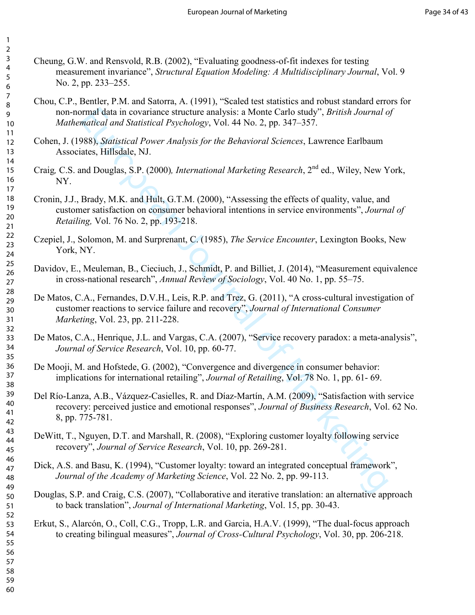- Cheung, G.W. and Rensvold, R.B.  $(2002)$ , "Evaluating goodness-of-fit indexes for testing measurement invariance", Structural Equation Modeling: A Multidisciplinary Journal, Vol. 9 No. 2, pp. 233–255.
	- Chou, C.P., Bentler, P.M. and Satorra, A. (1991), "Scaled test statistics and robust standard errors for non-normal data in covariance structure analysis: a Monte Carlo study", *British Journal of Mathematical and Statistical Psychology*, Vol. 44 No. 2, pp. 347–357.
- Cohen, J. (1988), *Statistical Power Analysis for the Behavioral Sciences*, Lawrence Earlbaum Associates, Hillsdale, NJ.
- Craig, C.S. and Douglas, S.P. (2000), *International Marketing Research*, 2<sup>nd</sup> ed., Wiley, New York, NY.
- Cronin, J.J., Brady, M.K. and Hult, G.T.M. (2000), "Assessing the effects of quality, value, and customer satisfaction on consumer behavioral intentions in service environments", *Journal of Retailing, Vol. 76 No. 2, pp. 193-218.*
- Czepiel, J., Solomon, M. and Surprenant, C. (1985), *The Service Encounter*, Lexington Books, New York, NY.
- Davidov, E., Meuleman, B., Cieciuch, J., Schmidt, P. and Billiet, J. (2014), "Measurement equivalence in cross-national research", *Annual Review of Sociology*, Vol. 40 No. 1, pp. 55–75.
- mmal data in covariance structure analysis: a Monte Carlo study", *British Journal a*<br>mailead and Sutistical Psychology, Vol. 44 No. 2, pp. 347–357.<br>Marketing *Seasy, Sutistical Pover Analysis for the Behavioral Sciences*, De Matos, C.A., Fernandes, D.V.H., Leis, R.P. and Trez, G. (2011), "A cross-cultural investigation of customer reactions to service failure and recovery", Journal of International Consumer *Marketing*, Vol. 23, pp. 211-228.
- De Matos, C.A., Henrique, J.L. and Vargas, C.A. (2007), "Service recovery paradox: a meta-analysis", Journal of Service Research, Vol. 10, pp. 60-77.
- De Mooji, M. and Hofstede, G. (2002), "Convergence and divergence in consumer behavior: implications for international retailing", *Journal of Retailing*, Vol. 78 No. 1, pp. 61-69.
- Del Río-Lanza, A.B., Vázquez-Casielles, R. and Díaz-Martín, A.M. (2009), "Satisfaction with service recovery: perceived justice and emotional responses", *Journal of Business Research*, Vol. 62 No. 8, pp. 775-781.
- DeWitt, T., Nguyen, D.T. and Marshall, R. (2008), "Exploring customer loyalty following service recovery", *Journal of Service Research*, Vol. 10, pp. 269-281.
- Dick, A.S. and Basu, K. (1994), "Customer loyalty: toward an integrated conceptual framework", Journal of the Academy of Marketing Science, Vol. 22 No. 2, pp. 99-113.
- Douglas, S.P. and Craig, C.S. (2007), "Collaborative and iterative translation: an alternative approach to back translation", *Journal of International Marketing*, Vol. 15, pp. 30-43.
- Erkut, S., Alarcón, O., Coll, C.G., Tropp, L.R. and Garcia, H.A.V. (1999), "The dual-focus approach to creating bilingual measures", *Journal of Cross-Cultural Psychology*, Vol. 30, pp. 206-218.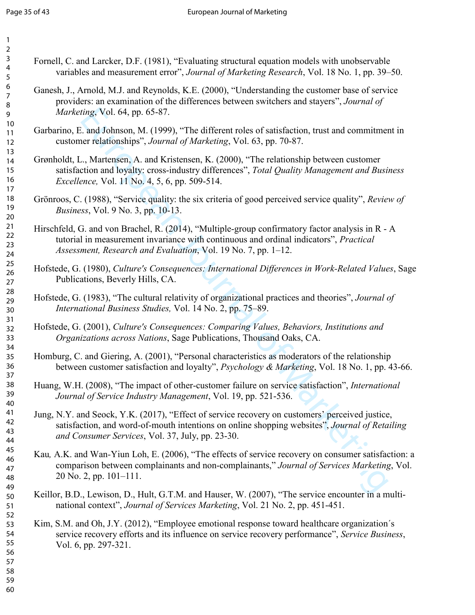| $\overline{2}$<br>$\mathsf{3}$<br>$\overline{4}$ | Fornell, C. and Larcker, D.F. (1981), "Evaluating structural equation models with unobservable                                                                                                                                                             |
|--------------------------------------------------|------------------------------------------------------------------------------------------------------------------------------------------------------------------------------------------------------------------------------------------------------------|
| $\sqrt{5}$                                       | variables and measurement error", Journal of Marketing Research, Vol. 18 No. 1, pp. 39-50.                                                                                                                                                                 |
| 6<br>$\boldsymbol{7}$<br>8<br>$\mathsf 9$        | Ganesh, J., Arnold, M.J. and Reynolds, K.E. (2000), "Understanding the customer base of service<br>providers: an examination of the differences between switchers and stayers", Journal of<br>Marketing, Vol. 64, pp. 65-87.                               |
| 10<br>11<br>12                                   | Garbarino, E. and Johnson, M. (1999), "The different roles of satisfaction, trust and commitment in<br>customer relationships", Journal of Marketing, Vol. 63, pp. 70-87.                                                                                  |
| 13<br>14<br>15<br>16<br>17                       | Grønholdt, L., Martensen, A. and Kristensen, K. (2000), "The relationship between customer<br>satisfaction and loyalty: cross-industry differences", Total Quality Management and Business<br><i>Excellence</i> , Vol. 11 No. 4, 5, 6, pp. 509-514.        |
| 18<br>19<br>20                                   | Grönroos, C. (1988), "Service quality: the six criteria of good perceived service quality", Review of<br><i>Business</i> , Vol. 9 No. 3, pp. 10-13.                                                                                                        |
| 21<br>22<br>23<br>24                             | Hirschfeld, G. and von Brachel, R. (2014), "Multiple-group confirmatory factor analysis in R - A<br>tutorial in measurement invariance with continuous and ordinal indicators", Practical<br>Assessment, Research and Evaluation, Vol. 19 No. 7, pp. 1–12. |
| 25<br>26<br>27                                   | Hofstede, G. (1980), Culture's Consequences: International Differences in Work-Related Values, Sage<br>Publications, Beverly Hills, CA.                                                                                                                    |
| 28<br>29<br>30                                   | Hofstede, G. (1983), "The cultural relativity of organizational practices and theories", Journal of<br>International Business Studies, Vol. 14 No. 2, pp. 75–89.                                                                                           |
| 31<br>32<br>33                                   | Hofstede, G. (2001), Culture's Consequences: Comparing Values, Behaviors, Institutions and<br>Organizations across Nations, Sage Publications, Thousand Oaks, CA.                                                                                          |
| 34<br>35<br>36<br>37                             | Homburg, C. and Giering, A. (2001), "Personal characteristics as moderators of the relationship<br>between customer satisfaction and loyalty", Psychology & Marketing, Vol. 18 No. 1, pp. 43-66.                                                           |
| 38<br>39<br>40                                   | Huang, W.H. (2008), "The impact of other-customer failure on service satisfaction", International<br>Journal of Service Industry Management, Vol. 19, pp. 521-536.                                                                                         |
| 41<br>42<br>43<br>44                             | Jung, N.Y. and Seock, Y.K. (2017), "Effect of service recovery on customers' perceived justice,<br>satisfaction, and word-of-mouth intentions on online shopping websites", Journal of Retailing<br>and Consumer Services, Vol. 37, July, pp. 23-30.       |
| 45<br>46<br>47<br>48                             | Kau, A.K. and Wan-Yiun Loh, E. (2006), "The effects of service recovery on consumer satisfaction: a<br>comparison between complainants and non-complainants," Journal of Services Marketing, Vol.<br>$20$ No. 2, pp. $101-111$ .                           |
| 49<br>50<br>51                                   | Keillor, B.D., Lewison, D., Hult, G.T.M. and Hauser, W. (2007), "The service encounter in a multi-<br>national context", Journal of Services Marketing, Vol. 21 No. 2, pp. 451-451.                                                                        |
| 52<br>53<br>54<br>55<br>56                       | Kim, S.M. and Oh, J.Y. (2012), "Employee emotional response toward healthcare organization's<br>service recovery efforts and its influence on service recovery performance", Service Business,<br>Vol. 6, pp. 297-321.                                     |
| 57<br>58<br>59<br>60                             |                                                                                                                                                                                                                                                            |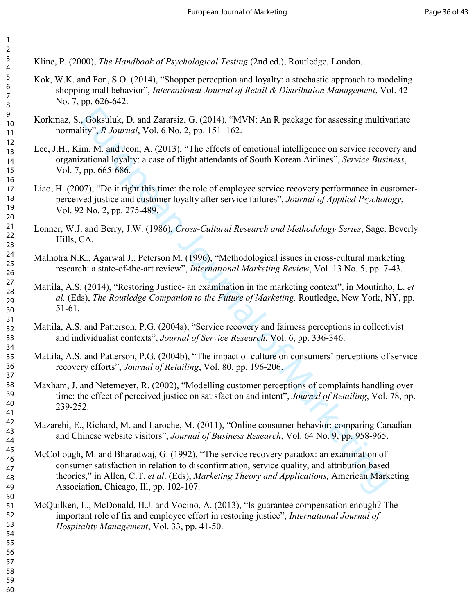Kline, P. (2000), *The Handbook of Psychological Testing* (2nd ed.), Routledge, London.

- Kok, W.K. and Fon, S.O. (2014), "Shopper perception and loyalty: a stochastic approach to modeling shopping mall behavior", *International Journal of Retail & Distribution Management*, Vol. 42 No. 7, pp. 626-642.
- Korkmaz, S., Goksuluk, D. and Zararsiz, G. (2014), "MVN: An R package for assessing multivariate normality", *R Journal*, Vol. 6 No. 2, pp. 151–162.
- Lee, J.H., Kim, M. and Jeon, A. (2013), "The effects of emotional intelligence on service recovery and organizational loyalty: a case of flight attendants of South Korean Airlines", *Service Business*, Vol. 7, pp.  $665-686$ .
- Liao, H. (2007), "Do it right this time: the role of employee service recovery performance in customer perceived justice and customer loyalty after service failures", *Journal of Applied Psychology*, Vol. 92 No. 2, pp. 275489.
- Lonner, W.J. and Berry, J.W. (1986), *Cross-Cultural Research and Methodology Series*, Sage, Beverly Hills, CA.
- Malhotra N.K., Agarwal J., Peterson M. (1996), "Methodological issues in cross-cultural marketing research: a state-of-the-art review", *International Marketing Review*, Vol. 13 No. 5, pp. 7-43.
- Mattila, A.S. (2014), "Restoring Justice- an examination in the marketing context", in Moutinho, L. *et* al. (Eds), The Routledge Companion to the Future of Marketing, Routledge, New York, NY, pp.  $51-61$ .
- Mattila, A.S. and Patterson, P.G. (2004a), "Service recovery and fairness perceptions in collectivist and individualist contexts", *Journal of Service Research*, Vol. 6, pp. 336-346.
- Mattila, A.S. and Patterson, P.G. (2004b), "The impact of culture on consumers' perceptions of service recovery efforts", *Journal of Retailing*, Vol. 80, pp. 196-206.
- Maxham, J. and Netemeyer, R. (2002), "Modelling customer perceptions of complaints handling over time: the effect of perceived justice on satisfaction and intent", *Journal of Retailing*, Vol. 78, pp. 239-252.
- Mazarehi, E., Richard, M. and Laroche, M. (2011), "Online consumer behavior: comparing Canadian and Chinese website visitors", *Journal of Business Research*, Vol. 64 No. 9, pp. 958-965.
- , Goksuluk, D. and Zararsiz, G. (2014), "MVN: An R package for assessing multity", *R. Journal*, Vol. 6 No. 2, pp. 151–162.<br>
itiy", *R. Journal*, Vol. 6 No. 2, pp. 151–162.<br>
and Jeon, A. (2013), "The effects of emotional McCollough, M. and Bharadwaj, G. (1992), "The service recovery paradox: an examination of consumer satisfaction in relation to disconfirmation, service quality, and attribution based theories," in Allen, C.T. et al. (Eds), *Marketing Theory and Applications*, American Marketing Association, Chicago, Ill, pp. 102-107.
- McQuilken, L., McDonald, H.J. and Vocino, A. (2013), "Is guarantee compensation enough? The important role of fix and employee effort in restoring justice", *International Journal of Hospitality Management, Vol. 33, pp. 41-50.*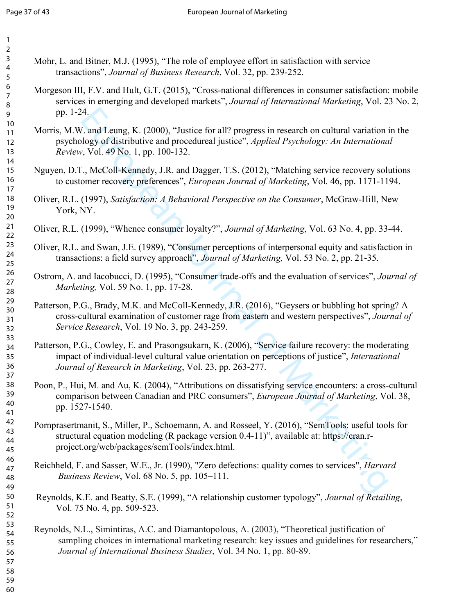| 1<br>2                     |  |
|----------------------------|--|
| 3<br>4                     |  |
| 5                          |  |
| 6                          |  |
| 8<br>9                     |  |
| 10                         |  |
| 11<br>$\overline{12}$      |  |
| 13                         |  |
| $\overline{14}$<br>1<br>5  |  |
| 16<br>17                   |  |
| 18                         |  |
| 19<br>20                   |  |
| $\overline{21}$<br>$^{22}$ |  |
| 23<br>24                   |  |
| 25                         |  |
| 26<br>27                   |  |
| 28<br>29                   |  |
| 30                         |  |
| $\overline{31}$<br>32      |  |
| 33<br>34                   |  |
| 35                         |  |
| 36<br>37                   |  |
| Rξ<br>39                   |  |
| 40                         |  |
| 41<br>42                   |  |
| 43<br>44                   |  |
| 45                         |  |
| 46<br>47                   |  |
| 48<br>49                   |  |
| 50                         |  |
| 51<br>52                   |  |
| 53<br>54                   |  |
| 55                         |  |
| 56<br>57                   |  |
| 58<br>59                   |  |

- Mohr, L. and Bitner, M.J. (1995), "The role of employee effort in satisfaction with service transactions", *Journal of Business Research*, Vol. 32, pp. 239-252.
- Morgeson III, F.V. and Hult, G.T. (2015), "Cross-national differences in consumer satisfaction: mobile services in emerging and developed markets", *Journal of International Marketing*, Vol. 23 No. 2, pp. 1-24.
- 24.<br>
2. and Leung, K. (2000), "Justice for all? progress in research on cultural variation<br>
2. yol. 49 No. 1, pp. 100-132.<br>
7. Vol. 49 No. 1, pp. 100-132.<br>
7. Vol. 49 No. 1, pp. 100-132.<br>
7. McColl-Kennedy, J.R. and Dagger Morris, M.W. and Leung, K. (2000), "Justice for all? progress in research on cultural variation in the psychology of distributive and procedureal justice", *Applied Psychology: An International Review*, Vol. 49 No. 1, pp. 100-132.
- Nguyen, D.T., McColl-Kennedy, J.R. and Dagger, T.S. (2012), "Matching service recovery solutions to customer recovery preferences", *European Journal of Marketing*, Vol. 46, pp. 1171-1194.
- Oliver, R.L. (1997), Satisfaction: A Behavioral Perspective on the Consumer, McGraw-Hill, New York, NY.
- Oliver, R.L. (1999), "Whence consumer loyalty?", *Journal of Marketing*, Vol. 63 No. 4, pp. 33-44.
- Oliver, R.L. and Swan, J.E. (1989), "Consumer perceptions of interpersonal equity and satisfaction in transactions: a field survey approach", *Journal of Marketing*, Vol. 53 No. 2, pp. 21-35.
- Ostrom, A. and Iacobucci, D. (1995), "Consumer trade-offs and the evaluation of services", *Journal of Marketing, Vol.* 59 No. 1, pp. 17-28.
- Patterson, P.G., Brady, M.K. and McColl-Kennedy, J.R. (2016), "Geysers or bubbling hot spring? A cross-cultural examination of customer rage from eastern and western perspectives", *Journal of Service Research, Vol. 19 No. 3, pp. 243-259.*
- Patterson, P.G., Cowley, E. and Prasongsukarn, K. (2006), "Service failure recovery: the moderating impact of individual-level cultural value orientation on perceptions of justice", *International Journal of Research in Marketing, Vol. 23, pp. 263-277.*
- Poon, P., Hui, M. and Au, K. (2004), "Attributions on dissatisfying service encounters: a cross-cultural comparison between Canadian and PRC consumers", *European Journal of Marketing*, Vol. 38, pp. 1527-1540.
- Pornprasertmanit, S., Miller, P., Schoemann, A. and Rosseel, Y. (2016), "SemTools: useful tools for structural equation modeling (R package version 0.4-11)", available at: https://cran.rproject.org/web/packages/semTools/index.html.
- Reichheld, F. and Sasser, W.E., Jr. (1990), "Zero defections: quality comes to services", *Harvard Business Review, Vol. 68 No. 5, pp. 105–111.*
- Reynolds, K.E. and Beatty, S.E. (1999), "A relationship customer typology", *Journal of Retailing*, Vol. 75 No. 4, pp. 509-523.
- Reynolds, N.L., Simintiras, A.C. and Diamantopolous, A. (2003), "Theoretical justification of sampling choices in international marketing research: key issues and guidelines for researchers," *Journal of International Business Studies, Vol. 34 No. 1, pp. 80-89.*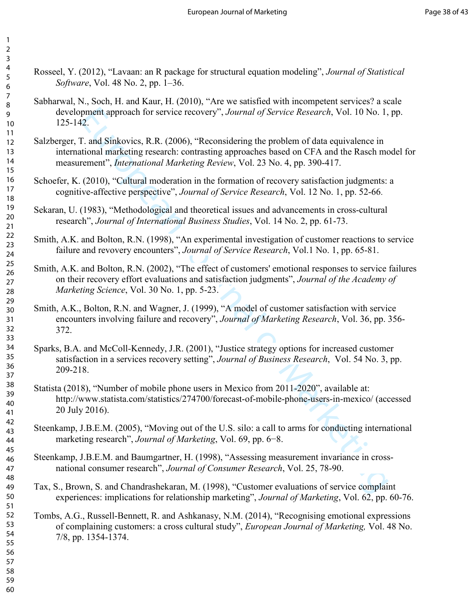- Rosseel, Y. (2012), "Lavaan: an R package for structural equation modeling", *Journal of Statistical Software*, Vol. 48 No. 2, pp. 1–36.
	- Sabharwal, N., Soch, H. and Kaur, H. (2010), "Are we satisfied with incompetent services? a scale development approach for service recovery", *Journal of Service Research*, Vol. 10 No. 1, pp. 125142.
- Salzberger, T. and Sinkovics, R.R. (2006), "Reconsidering the problem of data equivalence in international marketing research: contrasting approaches based on CFA and the Rasch model for measurement", *International Marketing Review*, Vol. 23 No. 4, pp. 390-417.
- Schoefer, K. (2010), "Cultural moderation in the formation of recovery satisfaction judgments: a cognitive-affective perspective", *Journal of Service Research*, Vol. 12 No. 1, pp. 52-66.
- Sekaran, U. (1983), "Methodological and theoretical issues and advancements in cross-cultural research", *Journal of International Business Studies*, Vol. 14 No. 2, pp. 61-73.
- Smith, A.K. and Bolton, R.N. (1998), "An experimental investigation of customer reactions to service failure and revovery encounters", *Journal of Service Research*, Vol.1 No. 1, pp. 65-81.
- proach for service recovery", Journal of Service Research, Vol. 10 No. 1,<br>
22.<br>
22.<br>
22.<br>
T. and Sinkovies, R.R. (2006), "Reconsidering the problem of data equivalence in<br>
tinonal marketing research: contrasting approaches Smith, A.K. and Bolton, R.N. (2002), "The effect of customers' emotional responses to service failures on their recovery effort evaluations and satisfaction judgments", *Journal of the Academy of Marketing Science, Vol. 30 No. 1, pp. 5-23.*
- Smith, A.K., Bolton, R.N. and Wagner, J. (1999), "A model of customer satisfaction with service encounters involving failure and recovery", Journal of Marketing Research, Vol. 36, pp. 356-372.
- Sparks, B.A. and McColl-Kennedy, J.R. (2001), "Justice strategy options for increased customer satisfaction in a services recovery setting", *Journal of Business Research*, Vol. 54 No. 3, pp. 209218.
- Statista (2018), "Number of mobile phone users in Mexico from 2011-2020", available at: http://www.statista.com/statistics/274700/forecast-of-mobile-phone-users-in-mexico/ (accessed 20 July 2016).
- Steenkamp, J.B.E.M. (2005), "Moving out of the U.S. silo: a call to arms for conducting international marketing research", *Journal of Marketing*, Vol. 69, pp. 6–8.
- Steenkamp, J.B.E.M. and Baumgartner, H. (1998), "Assessing measurement invariance in cross national consumer research", *Journal of Consumer Research*, Vol. 25, 78-90.
	- Tax, S., Brown, S. and Chandrashekaran, M. (1998), "Customer evaluations of service complaint experiences: implications for relationship marketing", *Journal of Marketing*, Vol. 62, pp. 60-76.
- Tombs, A.G., Russell-Bennett, R. and Ashkanasy, N.M. (2014), "Recognising emotional expressions of complaining customers: a cross cultural study", *European Journal of Marketing*, Vol. 48 No. 7/8, pp. 1354-1374.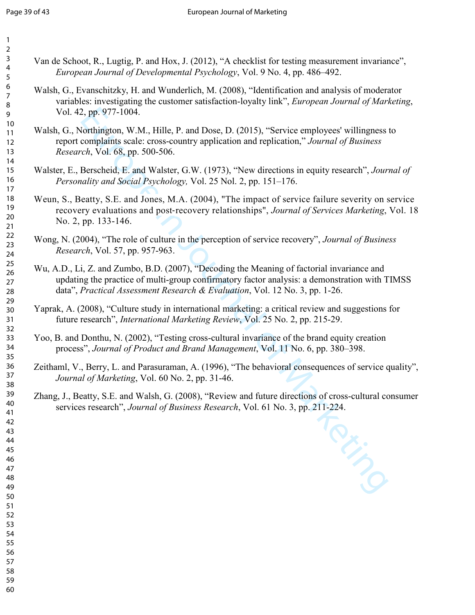| $\overline{2}$           |                                                                                                                                                                                                                                                                            |
|--------------------------|----------------------------------------------------------------------------------------------------------------------------------------------------------------------------------------------------------------------------------------------------------------------------|
| 3<br>4<br>5              | Van de Schoot, R., Lugtig, P. and Hox, J. (2012), "A checklist for testing measurement invariance",<br>European Journal of Developmental Psychology, Vol. 9 No. 4, pp. 486-492.                                                                                            |
| 6<br>7<br>8<br>9         | Walsh, G., Evanschitzky, H. and Wunderlich, M. (2008), "Identification and analysis of moderator<br>variables: investigating the customer satisfaction-loyalty link", <i>European Journal of Marketing</i> ,<br>Vol. 42, pp. 977-1004.                                     |
| $10\,$<br>11<br>12<br>13 | Walsh, G., Northington, W.M., Hille, P. and Dose, D. (2015), "Service employees' willingness to<br>report complaints scale: cross-country application and replication," Journal of Business<br>Research, Vol. 68, pp. 500-506.                                             |
| 14<br>15<br>16<br>17     | Walster, E., Berscheid, E. and Walster, G.W. (1973), "New directions in equity research", Journal of<br>Personality and Social Psychology, Vol. 25 Nol. 2, pp. 151-176.                                                                                                    |
| 18<br>19<br>20<br>21     | Weun, S., Beatty, S.E. and Jones, M.A. (2004), "The impact of service failure severity on service<br>recovery evaluations and post-recovery relationships", Journal of Services Marketing, Vol. 18<br>No. 2, pp. 133-146.                                                  |
| 22<br>23<br>24           | Wong, N. (2004), "The role of culture in the perception of service recovery", Journal of Business<br>Research, Vol. 57, pp. 957-963.                                                                                                                                       |
| 25<br>26<br>27<br>28     | Wu, A.D., Li, Z. and Zumbo, B.D. (2007), "Decoding the Meaning of factorial invariance and<br>updating the practice of multi-group confirmatory factor analysis: a demonstration with TIMSS<br>data", Practical Assessment Research & Evaluation, Vol. 12 No. 3, pp. 1-26. |
| 29<br>30<br>31<br>32     | Yaprak, A. (2008), "Culture study in international marketing: a critical review and suggestions for<br>future research", International Marketing Review, Vol. 25 No. 2, pp. 215-29.                                                                                        |
| 33<br>34<br>35           | Yoo, B. and Donthu, N. (2002), "Testing cross-cultural invariance of the brand equity creation<br>process", Journal of Product and Brand Management, Vol. 11 No. 6, pp. 380–398.                                                                                           |
| 36<br>37<br>38           | Zeithaml, V., Berry, L. and Parasuraman, A. (1996), "The behavioral consequences of service quality",<br>Journal of Marketing, Vol. 60 No. 2, pp. 31-46.                                                                                                                   |
| 39<br>40<br>41           | Zhang, J., Beatty, S.E. and Walsh, G. (2008), "Review and future directions of cross-cultural consumer<br>services research", Journal of Business Research, Vol. 61 No. 3, pp. 211-224.                                                                                    |
| 42<br>43<br>44<br>45     | <b>PAYS</b>                                                                                                                                                                                                                                                                |
| 46<br>47<br>48<br>49     |                                                                                                                                                                                                                                                                            |
| 50<br>51<br>52           |                                                                                                                                                                                                                                                                            |
| 53<br>54<br>55           |                                                                                                                                                                                                                                                                            |
| 56<br>57<br>58           |                                                                                                                                                                                                                                                                            |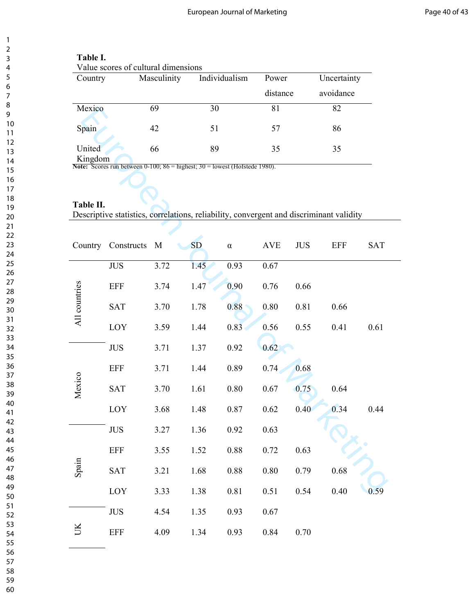| Table I. |  |
|----------|--|
|          |  |

| Value scores of cultural dimensions |             |               |          |             |  |  |  |  |  |
|-------------------------------------|-------------|---------------|----------|-------------|--|--|--|--|--|
| Country                             | Masculinity | Individualism | Power    | Uncertainty |  |  |  |  |  |
|                                     |             |               | distance | avoidance   |  |  |  |  |  |
| Mexico                              | 69          | 30            | 81       | 82          |  |  |  |  |  |
| Spain                               | 42          | 51            | 57       | 86          |  |  |  |  |  |
| United                              | 66          | 89            | 35       | 35          |  |  |  |  |  |

# Table II.

| <b>Mexico</b> |                                                                                          | 6Y   | 30        |          | 81         |            | 82         |            |
|---------------|------------------------------------------------------------------------------------------|------|-----------|----------|------------|------------|------------|------------|
| Spain         |                                                                                          | 42   | 51        |          | 57         |            | 86         |            |
| United        |                                                                                          | 66   | 89        |          | 35         |            | 35         |            |
| Kingdom       | <b>Note:</b> Scores run between $0-100$ ; $86$ = highest; $30$ = lowest (Hofstede 1980). |      |           |          |            |            |            |            |
|               |                                                                                          |      |           |          |            |            |            |            |
| Table II.     | Descriptive statistics, correlations, reliability, convergent and discriminant validity  |      |           |          |            |            |            |            |
|               |                                                                                          |      |           |          |            |            |            |            |
| Country       | Constructs                                                                               | M    | <b>SD</b> | $\alpha$ | <b>AVE</b> | <b>JUS</b> | <b>EFF</b> | <b>SAT</b> |
|               | <b>JUS</b>                                                                               | 3.72 | 1.45      | 0.93     | 0.67       |            |            |            |
|               | <b>EFF</b>                                                                               | 3.74 | 1.47      | 0.90     | 0.76       | 0.66       |            |            |
| All countries | <b>SAT</b>                                                                               | 3.70 | 1.78      | 0.88     | 0.80       | 0.81       | 0.66       |            |
|               | LOY                                                                                      | 3.59 | 1.44      | 0.83     | 0.56       | 0.55       | 0.41       | 0.61       |
|               | <b>JUS</b>                                                                               | 3.71 | 1.37      | 0.92     | 0.62       |            |            |            |
|               | <b>EFF</b>                                                                               | 3.71 | 1.44      | 0.89     | 0.74       | 0.68       |            |            |
| Mexico        | <b>SAT</b>                                                                               | 3.70 | 1.61      | 0.80     | 0.67       | 0.75       | 0.64       |            |
|               | LOY                                                                                      | 3.68 | 1.48      | 0.87     | 0.62       | 0.40       | 0.34       | 0.44       |
|               | <b>JUS</b>                                                                               | 3.27 | 1.36      | 0.92     | 0.63       |            |            |            |
|               | <b>EFF</b>                                                                               | 3.55 | 1.52      | 0.88     | 0.72       | 0.63       |            |            |
| Spain         | <b>SAT</b>                                                                               | 3.21 | 1.68      | $0.88\,$ | $0.80\,$   | 0.79       | $0.68\,$   |            |
|               | LOY                                                                                      | 3.33 | 1.38      | $0.81\,$ | 0.51       | 0.54       | 0.40       | 0.59       |
|               | <b>JUS</b>                                                                               | 4.54 | 1.35      | 0.93     | 0.67       |            |            |            |
| UK            | <b>EFF</b>                                                                               | 4.09 | 1.34      | 0.93     | 0.84       | 0.70       |            |            |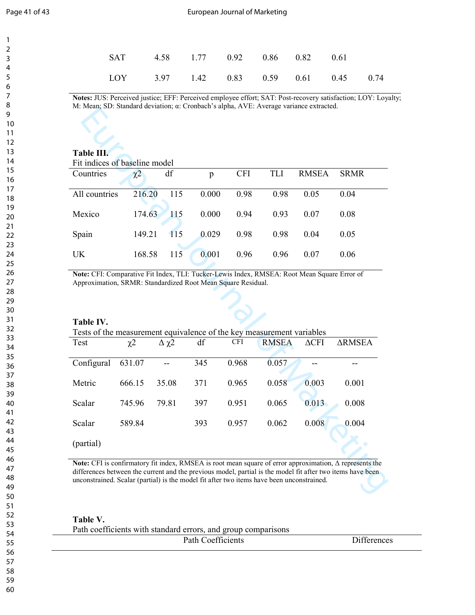#### Page 41 of 43 **Page 41 of 43** European Journal of Marketing

| SAT 4.58 1.77 0.92 0.86 0.82 0.61      |  |  |  |  |
|----------------------------------------|--|--|--|--|
| LOY 3.97 1.42 0.83 0.59 0.61 0.45 0.74 |  |  |  |  |

Notes: JUS: Perceived justice; EFF: Perceived employee effort; SAT: Post-recovery satisfaction; LOY: Loyalty; M: Mean; SD: Standard deviation; α: Cronbach's alpha, AVE: Average variance extracted.

# Table III.

| Fit indices of baseline model |
|-------------------------------|
|-------------------------------|

| I It maloes of basemic model |          |            |       |            |      |       |             |
|------------------------------|----------|------------|-------|------------|------|-------|-------------|
| Countries                    | $\chi^2$ | df         | p     | <b>CFI</b> | TLI  | RMSEA | <b>SRMR</b> |
| All countries                | 216.20   | 115        | 0.000 | 0.98       | 0.98 | 0.05  | 0.04        |
| Mexico                       | 174.63   | <b>115</b> | 0.000 | 0.94       | 0.93 | 0.07  | 0.08        |
| Spain                        | 149.21   | 115        | 0.029 | 0.98       | 0.98 | 0.04  | 0.05        |
| UK                           | 168.58   | 115        | 0.001 | 0.96       | 0.96 | 0.07  | 0.06        |

# Table IV.

| $D$ . Duman a deviation, $\alpha$ . Cronouen 5 arpha, $\alpha$ v $D$ . Trenage                                                                              |                     |                 |                   |            |              |              |                                                                                                                                                                                                                              |  |  |  |  |
|-------------------------------------------------------------------------------------------------------------------------------------------------------------|---------------------|-----------------|-------------------|------------|--------------|--------------|------------------------------------------------------------------------------------------------------------------------------------------------------------------------------------------------------------------------------|--|--|--|--|
| Table III.                                                                                                                                                  |                     |                 |                   |            |              |              |                                                                                                                                                                                                                              |  |  |  |  |
| Fit indices of baseline model                                                                                                                               |                     |                 |                   |            |              |              |                                                                                                                                                                                                                              |  |  |  |  |
| Countries                                                                                                                                                   | $\chi$ <sup>2</sup> | df              | $\mathbf{p}$      | <b>CFI</b> | <b>TLI</b>   | <b>RMSEA</b> | <b>SRMR</b>                                                                                                                                                                                                                  |  |  |  |  |
| All countries                                                                                                                                               | 216.20              | 115             | 0.000             | 0.98       | 0.98         | 0.05         | 0.04                                                                                                                                                                                                                         |  |  |  |  |
| Mexico                                                                                                                                                      | 174.63              | 115             | 0.000             | 0.94       | 0.93         | 0.07         | 0.08                                                                                                                                                                                                                         |  |  |  |  |
| Spain                                                                                                                                                       | 149.21              | 115             | 0.029             | 0.98       | 0.98         | 0.04         | 0.05                                                                                                                                                                                                                         |  |  |  |  |
| <b>UK</b>                                                                                                                                                   | 168.58              | 115             | 0.001             | 0.96       | 0.96         | 0.07         | 0.06                                                                                                                                                                                                                         |  |  |  |  |
| Note: CFI: Comparative Fit Index, TLI: Tucker-Lewis Index, RMSEA: Root Mean Square Error of<br>Approximation, SRMR: Standardized Root Mean Square Residual. |                     |                 |                   |            |              |              |                                                                                                                                                                                                                              |  |  |  |  |
| Table IV.<br>Tests of the measurement equivalence of the key measurement variables                                                                          |                     |                 |                   |            |              |              |                                                                                                                                                                                                                              |  |  |  |  |
| Test                                                                                                                                                        | $\chi$ <sub>2</sub> | $\Delta \chi$ 2 | df                | <b>CFI</b> | <b>RMSEA</b> | $\Delta$ CFI | <b>ARMSEA</b>                                                                                                                                                                                                                |  |  |  |  |
| Configural                                                                                                                                                  | 631.07              |                 | $\overline{3}$ 45 | 0.968      | 0.057        |              |                                                                                                                                                                                                                              |  |  |  |  |
| Metric                                                                                                                                                      | 666.15              | 35.08           | 371               | 0.965      | 0.058        | 0.003        | 0.001                                                                                                                                                                                                                        |  |  |  |  |
| Scalar                                                                                                                                                      | 745.96              | 79.81           | 397               | 0.951      | 0.065        | 0.013        | 0.008                                                                                                                                                                                                                        |  |  |  |  |
| Scalar                                                                                                                                                      | 589.84              |                 | 393               | 0.957      | 0.062        | 0.008        | 0.004                                                                                                                                                                                                                        |  |  |  |  |
| (partial)                                                                                                                                                   |                     |                 |                   |            |              |              |                                                                                                                                                                                                                              |  |  |  |  |
| unconstrained. Scalar (partial) is the model fit after two items have been unconstrained.                                                                   |                     |                 |                   |            |              |              | Note: CFI is confirmatory fit index, RMSEA is root mean square of error approximation, $\Delta$ represents the<br>differences between the current and the previous model, partial is the model fit after two items have been |  |  |  |  |
|                                                                                                                                                             |                     |                 |                   |            |              |              |                                                                                                                                                                                                                              |  |  |  |  |

Table V.

| $\cdots$ |                                                               |  |
|----------|---------------------------------------------------------------|--|
|          | Path coefficients with standard errors, and group comparisons |  |

| $\sim$ weil wo will will be a second through the will will me a complete world will well will |                                    |                               |  |  |  |  |  |
|-----------------------------------------------------------------------------------------------|------------------------------------|-------------------------------|--|--|--|--|--|
|                                                                                               | $\alpha$<br>Path C<br>Coefficients | $\cdot$ $\sim$<br>Differences |  |  |  |  |  |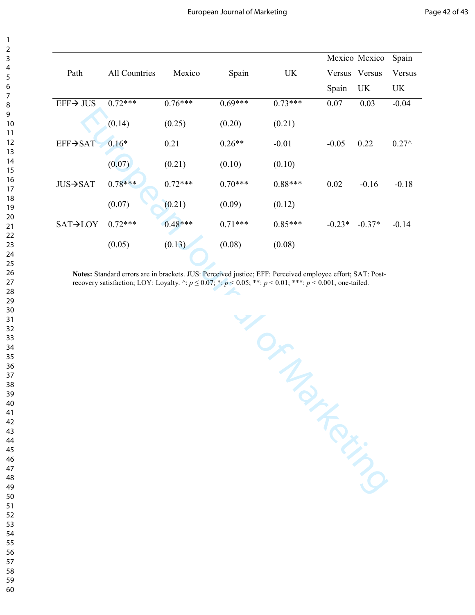|                       |               |           |           |           |          | Mexico Mexico | Spain           |
|-----------------------|---------------|-----------|-----------|-----------|----------|---------------|-----------------|
| Path                  | All Countries | Mexico    | Spain     | UK        |          | Versus Versus | Versus          |
|                       |               |           |           |           | Spain    | UK            | UK              |
| $EFF \rightarrow JUS$ | $0.72***$     | $0.76***$ | $0.69***$ | $0.73***$ | 0.07     | 0.03          | $-0.04$         |
|                       | (0.14)        | (0.25)    | (0.20)    | (0.21)    |          |               |                 |
| EFF→SAT               | $0.16*$       | 0.21      | $0.26**$  | $-0.01$   | $-0.05$  | 0.22          | $0.27^{\wedge}$ |
|                       | (0.07)        | (0.21)    | (0.10)    | (0.10)    |          |               |                 |
| $JUS \rightarrow SAT$ | $0.78***$     | $0.72***$ | $0.70***$ | $0.88***$ | 0.02     | $-0.16$       | $-0.18$         |
|                       | (0.07)        | (0.21)    | (0.09)    | (0.12)    |          |               |                 |
| $SAT \rightarrow LOY$ | $0.72***$     | $0.48***$ | $0.71***$ | $0.85***$ | $-0.23*$ | $-0.37*$      | $-0.14$         |
|                       | (0.05)        | (0.13)    | (0.08)    | (0.08)    |          |               |                 |
|                       |               |           |           |           |          |               |                 |

Notes: Standard errors are in brackets. JUS: Perceived justice; EFF: Perceived employee effort; SAT: Postrecovery satisfaction; LOY: Loyalty.  $\land: p \le 0.07$ ;  $\ast: p < 0.05$ ;  $\ast: p < 0.01$ ;  $\ast \ast: p < 0.001$ , one-tailed.

European Journal of Marketing Path All Countries Mexico Spain UK